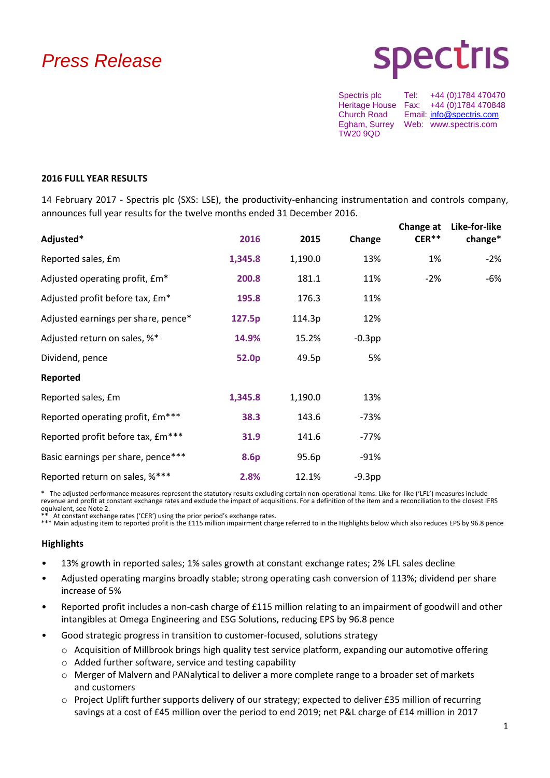# *Press Release*

# **Spectris**

Spectris plc Tel: +44 (0)1784 470470 Heritage House Fax: +44 (0)1784 470848<br>Church Road Email: info@spectris.com Email: [info@spectris.com](mailto:info@spectris.com) Egham, Surrey Web: www.spectris.com TW20 9QD

### **2016 FULL YEAR RESULTS**

14 February 2017 - Spectris plc (SXS: LSE), the productivity-enhancing instrumentation and controls company, announces full year results for the twelve months ended 31 December 2016.

| Adjusted*                           | 2016    | 2015    | Change    | Change at<br>$CER**$ | Like-for-like<br>change* |
|-------------------------------------|---------|---------|-----------|----------------------|--------------------------|
| Reported sales, £m                  | 1,345.8 | 1,190.0 | 13%       | 1%                   | $-2%$                    |
| Adjusted operating profit, £m*      | 200.8   | 181.1   | 11%       | $-2%$                | -6%                      |
| Adjusted profit before tax, £m*     | 195.8   | 176.3   | 11%       |                      |                          |
| Adjusted earnings per share, pence* | 127.5p  | 114.3p  | 12%       |                      |                          |
| Adjusted return on sales, %*        | 14.9%   | 15.2%   | $-0.3$ pp |                      |                          |
| Dividend, pence                     | 52.0p   | 49.5p   | 5%        |                      |                          |
| Reported                            |         |         |           |                      |                          |
| Reported sales, £m                  | 1,345.8 | 1,190.0 | 13%       |                      |                          |
| Reported operating profit, £m***    | 38.3    | 143.6   | -73%      |                      |                          |
| Reported profit before tax, £m***   | 31.9    | 141.6   | $-77%$    |                      |                          |
| Basic earnings per share, pence***  | 8.6p    | 95.6p   | -91%      |                      |                          |
| Reported return on sales, %***      | 2.8%    | 12.1%   | $-9.3pp$  |                      |                          |

\* The adjusted performance measures represent the statutory results excluding certain non-operational items. Like-for-like ('LFL') measures include revenue and profit at constant exchange rates and exclude the impact of acquisitions. For a definition of the item and a reconciliation to the closest IFRS equivalent, see Note 2.

At constant exchange rates ('CER') using the prior period's exchange rates. \*\*\* Main adjusting item to reported profit is the £115 million impairment charge referred to in the Highlights below which also reduces EPS by 96.8 pence

# **Highlights**

- 13% growth in reported sales; 1% sales growth at constant exchange rates; 2% LFL sales decline
- Adjusted operating margins broadly stable; strong operating cash conversion of 113%; dividend per share increase of 5%
- Reported profit includes a non-cash charge of £115 million relating to an impairment of goodwill and other intangibles at Omega Engineering and ESG Solutions, reducing EPS by 96.8 pence
- Good strategic progress in transition to customer-focused, solutions strategy
	- o Acquisition of Millbrook brings high quality test service platform, expanding our automotive offering
	- o Added further software, service and testing capability
	- o Merger of Malvern and PANalytical to deliver a more complete range to a broader set of markets and customers
	- o Project Uplift further supports delivery of our strategy; expected to deliver £35 million of recurring savings at a cost of £45 million over the period to end 2019; net P&L charge of £14 million in 2017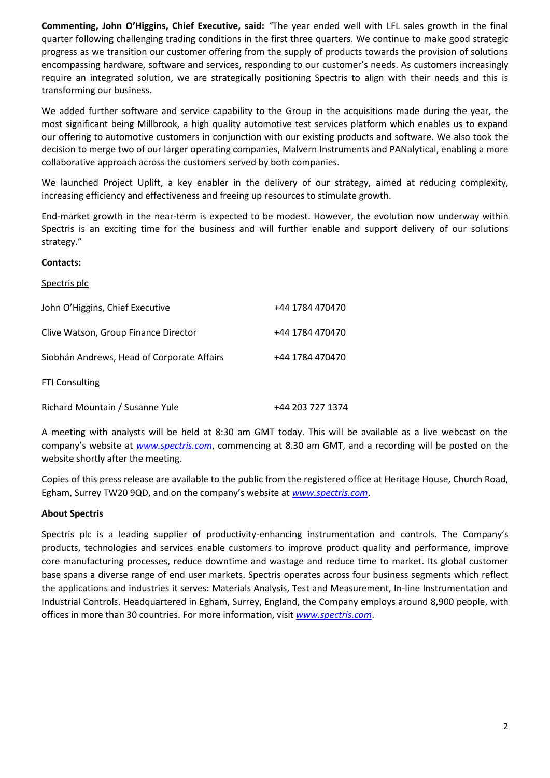**Commenting, John O'Higgins, Chief Executive, said:** *"*The year ended well with LFL sales growth in the final quarter following challenging trading conditions in the first three quarters. We continue to make good strategic progress as we transition our customer offering from the supply of products towards the provision of solutions encompassing hardware, software and services, responding to our customer's needs. As customers increasingly require an integrated solution, we are strategically positioning Spectris to align with their needs and this is transforming our business.

We added further software and service capability to the Group in the acquisitions made during the year, the most significant being Millbrook, a high quality automotive test services platform which enables us to expand our offering to automotive customers in conjunction with our existing products and software. We also took the decision to merge two of our larger operating companies, Malvern Instruments and PANalytical, enabling a more collaborative approach across the customers served by both companies.

We launched Project Uplift, a key enabler in the delivery of our strategy, aimed at reducing complexity, increasing efficiency and effectiveness and freeing up resources to stimulate growth.

End-market growth in the near-term is expected to be modest. However, the evolution now underway within Spectris is an exciting time for the business and will further enable and support delivery of our solutions strategy."

# **Contacts:**

| Spectris plc                               |                  |
|--------------------------------------------|------------------|
| John O'Higgins, Chief Executive            | +44 1784 470470  |
| Clive Watson, Group Finance Director       | +44 1784 470470  |
| Siobhán Andrews, Head of Corporate Affairs | +44 1784 470470  |
| FTI Consulting                             |                  |
| Richard Mountain / Susanne Yule            | +44 203 727 1374 |

A meeting with analysts will be held at 8:30 am GMT today. This will be available as a live webcast on the company's website at *[www.spectris.com](http://www.spectris.com/)*, commencing at 8.30 am GMT, and a recording will be posted on the website shortly after the meeting.

Copies of this press release are available to the public from the registered office at Heritage House, Church Road, Egham, Surrey TW20 9QD, and on the company's website at *[www.spectris.com](http://www.spectris.com/)*.

# **About Spectris**

Spectris plc is a leading supplier of productivity-enhancing instrumentation and controls. The Company's products, technologies and services enable customers to improve product quality and performance, improve core manufacturing processes, reduce downtime and wastage and reduce time to market. Its global customer base spans a diverse range of end user markets. Spectris operates across four business segments which reflect the applications and industries it serves: Materials Analysis, Test and Measurement, In-line Instrumentation and Industrial Controls. Headquartered in Egham, Surrey, England, the Company employs around 8,900 people, with offices in more than 30 countries. For more information, visit *[www.spectris.com](http://www.spectris.com/)*.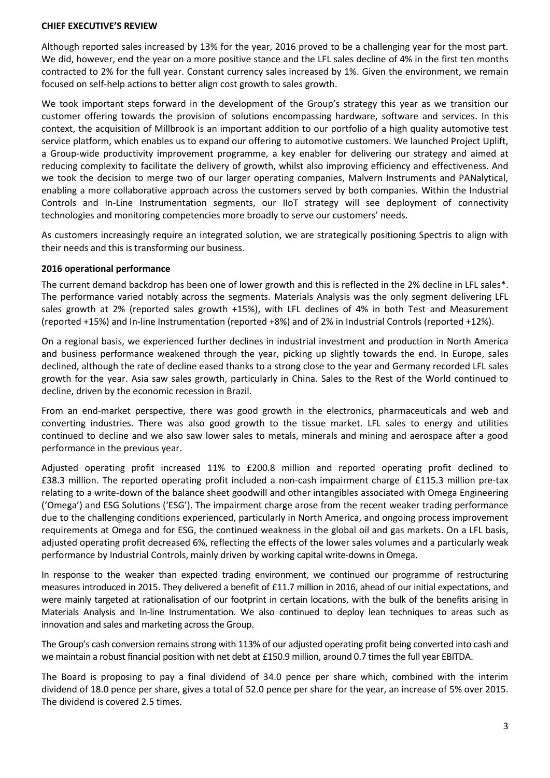# **CHIEF EXECUTIVE'S REVIEW**

Although reported sales increased by 13% for the year, 2016 proved to be a challenging year for the most part. We did, however, end the year on a more positive stance and the LFL sales decline of 4% in the first ten months contracted to 2% for the full year. Constant currency sales increased by 1%. Given the environment, we remain focused on self-help actions to better align cost growth to sales growth.

We took important steps forward in the development of the Group's strategy this year as we transition our customer offering towards the provision of solutions encompassing hardware, software and services. In this context, the acquisition of Millbrook is an important addition to our portfolio of a high quality automotive test service platform, which enables us to expand our offering to automotive customers. We launched Project Uplift, a Group-wide productivity improvement programme, a key enabler for delivering our strategy and aimed at reducing complexity to facilitate the delivery of growth, whilst also improving efficiency and effectiveness. And we took the decision to merge two of our larger operating companies, Malvern Instruments and PANalytical, enabling a more collaborative approach across the customers served by both companies. Within the Industrial Controls and In-Line Instrumentation segments, our IIoT strategy will see deployment of connectivity technologies and monitoring competencies more broadly to serve our customers' needs.

As customers increasingly require an integrated solution, we are strategically positioning Spectris to align with their needs and this is transforming our business.

#### **2016 operational performance**

The current demand backdrop has been one of lower growth and this is reflected in the 2% decline in LFL sales\*. The performance varied notably across the segments. Materials Analysis was the only segment delivering LFL sales growth at 2% (reported sales growth +15%), with LFL declines of 4% in both Test and Measurement (reported +15%) and In-line Instrumentation (reported +8%) and of 2% in Industrial Controls (reported +12%).

On a regional basis, we experienced further declines in industrial investment and production in North America and business performance weakened through the year, picking up slightly towards the end. In Europe, sales declined, although the rate of decline eased thanks to a strong close to the year and Germany recorded LFL sales growth for the year. Asia saw sales growth, particularly in China. Sales to the Rest of the World continued to decline, driven by the economic recession in Brazil.

From an end-market perspective, there was good growth in the electronics, pharmaceuticals and web and converting industries. There was also good growth to the tissue market. LFL sales to energy and utilities continued to decline and we also saw lower sales to metals, minerals and mining and aerospace after a good performance in the previous year.

Adjusted operating profit increased 11% to £200.8 million and reported operating profit declined to £38.3 million. The reported operating profit included a non-cash impairment charge of £115.3 million pre-tax relating to a write-down of the balance sheet goodwill and other intangibles associated with Omega Engineering ('Omega') and ESG Solutions ('ESG'). The impairment charge arose from the recent weaker trading performance due to the challenging conditions experienced, particularly in North America, and ongoing process improvement requirements at Omega and for ESG, the continued weakness in the global oil and gas markets. On a LFL basis, adjusted operating profit decreased 6%, reflecting the effects of the lower sales volumes and a particularly weak performance by Industrial Controls, mainly driven by working capital write-downs in Omega.

In response to the weaker than expected trading environment, we continued our programme of restructuring measures introduced in 2015. They delivered a benefit of £11.7 million in 2016, ahead of our initial expectations, and were mainly targeted at rationalisation of our footprint in certain locations, with the bulk of the benefits arising in Materials Analysis and In-line Instrumentation. We also continued to deploy lean techniques to areas such as innovation and sales and marketing across the Group.

The Group's cash conversion remains strong with 113% of our adjusted operating profit being converted into cash and we maintain a robust financial position with net debt at £150.9 million, around 0.7 times the full year EBITDA.

The Board is proposing to pay a final dividend of 34.0 pence per share which, combined with the interim dividend of 18.0 pence per share, gives a total of 52.0 pence per share for the year, an increase of 5% over 2015. The dividend is covered 2.5 times.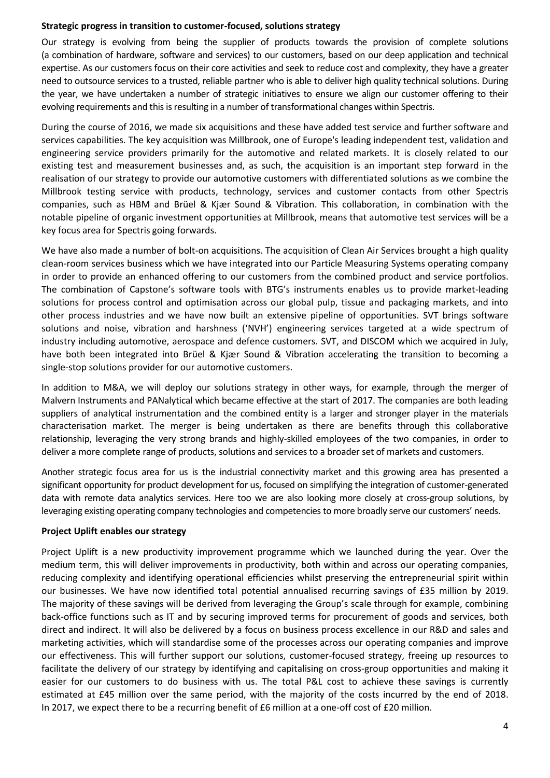# **Strategic progress in transition to customer-focused, solutions strategy**

Our strategy is evolving from being the supplier of products towards the provision of complete solutions (a combination of hardware, software and services) to our customers, based on our deep application and technical expertise. As our customers focus on their core activities and seek to reduce cost and complexity, they have a greater need to outsource services to a trusted, reliable partner who is able to deliver high quality technical solutions. During the year, we have undertaken a number of strategic initiatives to ensure we align our customer offering to their evolving requirements and this is resulting in a number of transformational changes within Spectris.

During the course of 2016, we made six acquisitions and these have added test service and further software and services capabilities. The key acquisition was Millbrook, one of Europe's leading independent test, validation and engineering service providers primarily for the automotive and related markets. It is closely related to our existing test and measurement businesses and, as such, the acquisition is an important step forward in the realisation of our strategy to provide our automotive customers with differentiated solutions as we combine the Millbrook testing service with products, technology, services and customer contacts from other Spectris companies, such as HBM and Brüel & Kjær Sound & Vibration. This collaboration, in combination with the notable pipeline of organic investment opportunities at Millbrook, means that automotive test services will be a key focus area for Spectris going forwards.

We have also made a number of bolt-on acquisitions. The acquisition of Clean Air Services brought a high quality clean-room services business which we have integrated into our Particle Measuring Systems operating company in order to provide an enhanced offering to our customers from the combined product and service portfolios. The combination of Capstone's software tools with BTG's instruments enables us to provide market-leading solutions for process control and optimisation across our global pulp, tissue and packaging markets, and into other process industries and we have now built an extensive pipeline of opportunities. SVT brings software solutions and noise, vibration and harshness ('NVH') engineering services targeted at a wide spectrum of industry including automotive, aerospace and defence customers. SVT, and DISCOM which we acquired in July, have both been integrated into Brüel & Kjær Sound & Vibration accelerating the transition to becoming a single-stop solutions provider for our automotive customers.

In addition to M&A, we will deploy our solutions strategy in other ways, for example, through the merger of Malvern Instruments and PANalytical which became effective at the start of 2017. The companies are both leading suppliers of analytical instrumentation and the combined entity is a larger and stronger player in the materials characterisation market. The merger is being undertaken as there are benefits through this collaborative relationship, leveraging the very strong brands and highly-skilled employees of the two companies, in order to deliver a more complete range of products, solutions and services to a broader set of markets and customers.

Another strategic focus area for us is the industrial connectivity market and this growing area has presented a significant opportunity for product development for us, focused on simplifying the integration of customer-generated data with remote data analytics services. Here too we are also looking more closely at cross-group solutions, by leveraging existing operating company technologies and competencies to more broadly serve our customers' needs.

# **Project Uplift enables our strategy**

Project Uplift is a new productivity improvement programme which we launched during the year. Over the medium term, this will deliver improvements in productivity, both within and across our operating companies, reducing complexity and identifying operational efficiencies whilst preserving the entrepreneurial spirit within our businesses. We have now identified total potential annualised recurring savings of £35 million by 2019. The majority of these savings will be derived from leveraging the Group's scale through for example, combining back-office functions such as IT and by securing improved terms for procurement of goods and services, both direct and indirect. It will also be delivered by a focus on business process excellence in our R&D and sales and marketing activities, which will standardise some of the processes across our operating companies and improve our effectiveness. This will further support our solutions, customer-focused strategy, freeing up resources to facilitate the delivery of our strategy by identifying and capitalising on cross-group opportunities and making it easier for our customers to do business with us. The total P&L cost to achieve these savings is currently estimated at £45 million over the same period, with the majority of the costs incurred by the end of 2018. In 2017, we expect there to be a recurring benefit of £6 million at a one-off cost of £20 million.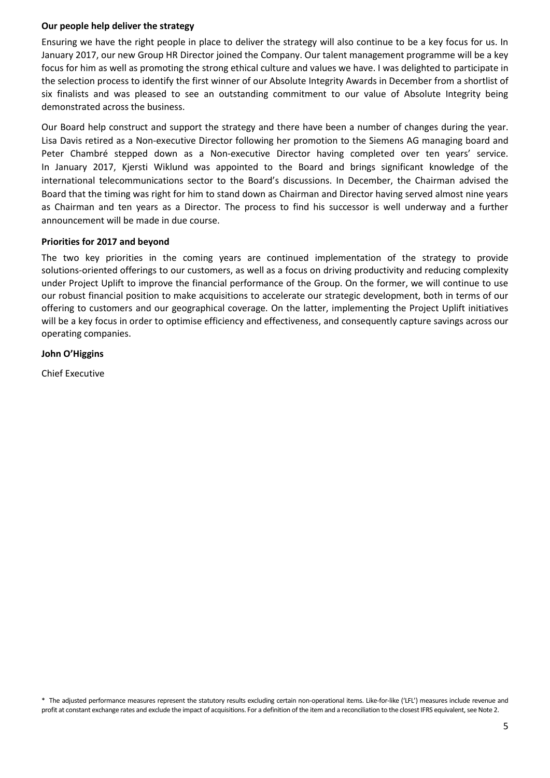# **Our people help deliver the strategy**

Ensuring we have the right people in place to deliver the strategy will also continue to be a key focus for us. In January 2017, our new Group HR Director joined the Company. Our talent management programme will be a key focus for him as well as promoting the strong ethical culture and values we have. I was delighted to participate in the selection process to identify the first winner of our Absolute Integrity Awards in December from a shortlist of six finalists and was pleased to see an outstanding commitment to our value of Absolute Integrity being demonstrated across the business.

Our Board help construct and support the strategy and there have been a number of changes during the year. Lisa Davis retired as a Non-executive Director following her promotion to the Siemens AG managing board and Peter Chambré stepped down as a Non-executive Director having completed over ten years' service. In January 2017, Kjersti Wiklund was appointed to the Board and brings significant knowledge of the international telecommunications sector to the Board's discussions. In December, the Chairman advised the Board that the timing was right for him to stand down as Chairman and Director having served almost nine years as Chairman and ten years as a Director. The process to find his successor is well underway and a further announcement will be made in due course.

# **Priorities for 2017 and beyond**

The two key priorities in the coming years are continued implementation of the strategy to provide solutions-oriented offerings to our customers, as well as a focus on driving productivity and reducing complexity under Project Uplift to improve the financial performance of the Group. On the former, we will continue to use our robust financial position to make acquisitions to accelerate our strategic development, both in terms of our offering to customers and our geographical coverage. On the latter, implementing the Project Uplift initiatives will be a key focus in order to optimise efficiency and effectiveness, and consequently capture savings across our operating companies.

# **John O'Higgins**

Chief Executive

\* The adjusted performance measures represent the statutory results excluding certain non-operational items. Like-for-like ('LFL') measures include revenue and profit at constant exchange rates and exclude the impact of acquisitions. For a definition of the item and a reconciliation to the closest IFRS equivalent, see Note 2.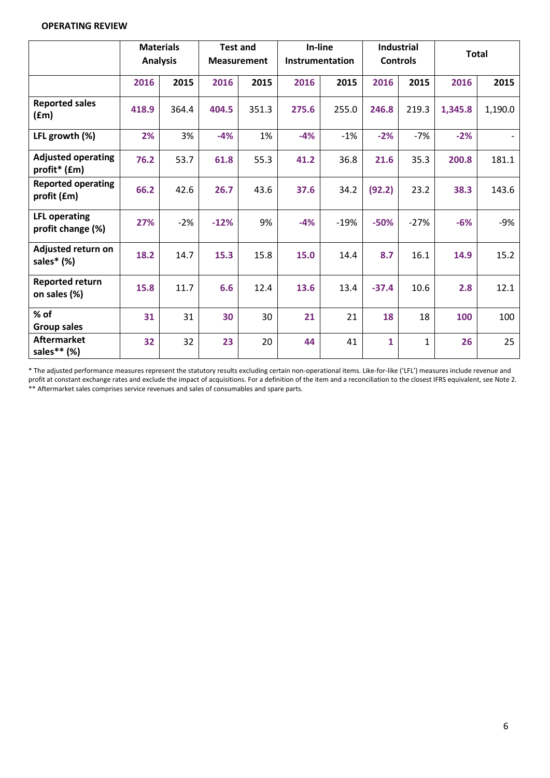# **OPERATING REVIEW**

|                                           | <b>Analysis</b> | <b>Materials</b> | <b>Test and</b><br><b>Measurement</b> |       | In-line<br>Instrumentation |        | <b>Industrial</b><br><b>Controls</b> |              | <b>Total</b> |         |
|-------------------------------------------|-----------------|------------------|---------------------------------------|-------|----------------------------|--------|--------------------------------------|--------------|--------------|---------|
|                                           | 2016            | 2015             | 2016                                  | 2015  | 2016                       | 2015   | 2016                                 | 2015         | 2016         | 2015    |
| <b>Reported sales</b><br>(fm)             | 418.9           | 364.4            | 404.5                                 | 351.3 | 275.6                      | 255.0  | 246.8                                | 219.3        | 1,345.8      | 1,190.0 |
| LFL growth (%)                            | 2%              | 3%               | $-4%$                                 | 1%    | $-4%$                      | $-1%$  | $-2%$                                | $-7%$        | $-2%$        |         |
| <b>Adjusted operating</b><br>profit* (£m) | 76.2            | 53.7             | 61.8                                  | 55.3  | 41.2                       | 36.8   | 21.6                                 | 35.3         | 200.8        | 181.1   |
| <b>Reported operating</b><br>profit (£m)  | 66.2            | 42.6             | 26.7                                  | 43.6  | 37.6                       | 34.2   | (92.2)                               | 23.2         | 38.3         | 143.6   |
| <b>LFL operating</b><br>profit change (%) | 27%             | $-2%$            | $-12%$                                | 9%    | $-4%$                      | $-19%$ | $-50%$                               | $-27%$       | $-6%$        | $-9%$   |
| Adjusted return on<br>sales* (%)          | 18.2            | 14.7             | 15.3                                  | 15.8  | 15.0                       | 14.4   | 8.7                                  | 16.1         | 14.9         | 15.2    |
| <b>Reported return</b><br>on sales (%)    | 15.8            | 11.7             | 6.6                                   | 12.4  | 13.6                       | 13.4   | $-37.4$                              | 10.6         | 2.8          | 12.1    |
| % of<br><b>Group sales</b>                | 31              | 31               | 30                                    | 30    | 21                         | 21     | 18                                   | 18           | 100          | 100     |
| <b>Aftermarket</b><br>sales** (%)         | 32              | 32               | 23                                    | 20    | 44                         | 41     | $\mathbf{1}$                         | $\mathbf{1}$ | 26           | 25      |

\* The adjusted performance measures represent the statutory results excluding certain non-operational items. Like-for-like ('LFL') measures include revenue and profit at constant exchange rates and exclude the impact of acquisitions. For a definition of the item and a reconciliation to the closest IFRS equivalent, see Note 2. \*\* Aftermarket sales comprises service revenues and sales of consumables and spare parts.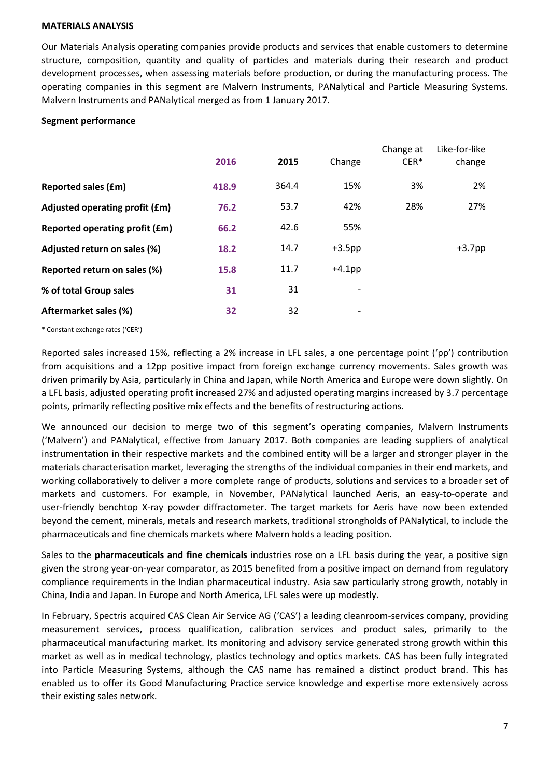#### **MATERIALS ANALYSIS**

Our Materials Analysis operating companies provide products and services that enable customers to determine structure, composition, quantity and quality of particles and materials during their research and product development processes, when assessing materials before production, or during the manufacturing process. The operating companies in this segment are Malvern Instruments, PANalytical and Particle Measuring Systems. Malvern Instruments and PANalytical merged as from 1 January 2017.

# **Segment performance**

|                                | 2016  | 2015  | Change                       | Change at<br>$CER*$ | Like-for-like<br>change |
|--------------------------------|-------|-------|------------------------------|---------------------|-------------------------|
| <b>Reported sales (£m)</b>     | 418.9 | 364.4 | 15%                          | 3%                  | 2%                      |
| Adjusted operating profit (£m) | 76.2  | 53.7  | 42%                          | 28%                 | 27%                     |
| Reported operating profit (£m) | 66.2  | 42.6  | 55%                          |                     |                         |
| Adjusted return on sales (%)   | 18.2  | 14.7  | $+3.5$ pp                    |                     | $+3.7$ pp               |
| Reported return on sales (%)   | 15.8  | 11.7  | $+4.1$ pp                    |                     |                         |
| % of total Group sales         | 31    | 31    | -                            |                     |                         |
| Aftermarket sales (%)          | 32    | 32    | $\qquad \qquad \blacksquare$ |                     |                         |
|                                |       |       |                              |                     |                         |

\* Constant exchange rates ('CER')

Reported sales increased 15%, reflecting a 2% increase in LFL sales, a one percentage point ('pp') contribution from acquisitions and a 12pp positive impact from foreign exchange currency movements. Sales growth was driven primarily by Asia, particularly in China and Japan, while North America and Europe were down slightly. On a LFL basis, adjusted operating profit increased 27% and adjusted operating margins increased by 3.7 percentage points, primarily reflecting positive mix effects and the benefits of restructuring actions.

We announced our decision to merge two of this segment's operating companies, Malvern Instruments ('Malvern') and PANalytical, effective from January 2017. Both companies are leading suppliers of analytical instrumentation in their respective markets and the combined entity will be a larger and stronger player in the materials characterisation market, leveraging the strengths of the individual companies in their end markets, and working collaboratively to deliver a more complete range of products, solutions and services to a broader set of markets and customers. For example, in November, PANalytical launched Aeris, an easy-to-operate and user-friendly benchtop X-ray powder diffractometer. The target markets for Aeris have now been extended beyond th[e cement,](http://xrdiseasy.com/editions/aeris-cement/?utm_source=Aeris%20overview%20tekst&utm_medium=PANsite&utm_campaign=Aeris%20Cement) [minerals,](http://xrdiseasy.com/editions/aeris-minerals/?utm_source=Aeris%20overview%20tekst&utm_medium=PANsite&utm_campaign=Aeris%20Minerals) [metals](http://xrdiseasy.com/editions/aeris-metals/?utm_source=Aeris%20overview%20tekst&utm_medium=PANsite&utm_campaign=Aeris%20Metals) an[d research](http://xrdiseasy.com/editions/aeris-research/?utm_source=Aeris%20overview%20tekst&utm_medium=PANsite&utm_campaign=Aeris%20Research%20) markets, traditional strongholds of PANalytical, to include the pharmaceuticals and fine chemicals markets where Malvern holds a leading position.

Sales to the **pharmaceuticals and fine chemicals** industries rose on a LFL basis during the year, a positive sign given the strong year-on-year comparator, as 2015 benefited from a positive impact on demand from regulatory compliance requirements in the Indian pharmaceutical industry. Asia saw particularly strong growth, notably in China, India and Japan. In Europe and North America, LFL sales were up modestly.

In February, Spectris acquired CAS Clean Air Service AG ('CAS') a leading cleanroom-services company, providing measurement services, process qualification, calibration services and product sales, primarily to the pharmaceutical manufacturing market. Its monitoring and advisory service generated strong growth within this market as well as in medical technology, plastics technology and optics markets. CAS has been fully integrated into [Particle Measuring Systems,](http://www.pmeasuring.com/en/) although the CAS name has remained a distinct product brand. This has enabled us to offer its Good Manufacturing Practice service knowledge and expertise more extensively across their existing sales network.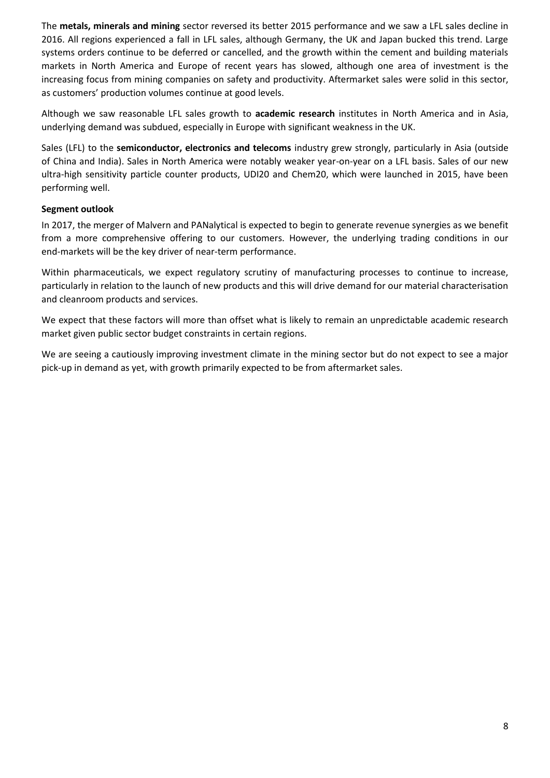The **metals, minerals and mining** sector reversed its better 2015 performance and we saw a LFL sales decline in 2016. All regions experienced a fall in LFL sales, although Germany, the UK and Japan bucked this trend. Large systems orders continue to be deferred or cancelled, and the growth within the cement and building materials markets in North America and Europe of recent years has slowed, although one area of investment is the increasing focus from mining companies on safety and productivity. Aftermarket sales were solid in this sector, as customers' production volumes continue at good levels.

Although we saw reasonable LFL sales growth to **academic research** institutes in North America and in Asia, underlying demand was subdued, especially in Europe with significant weakness in the UK.

Sales (LFL) to the **semiconductor, electronics and telecoms** industry grew strongly, particularly in Asia (outside of China and India). Sales in North America were notably weaker year-on-year on a LFL basis. Sales of our new ultra-high sensitivity particle counter products, UDI20 and Chem20, which were launched in 2015, have been performing well.

# **Segment outlook**

In 2017, the merger of Malvern and PANalytical is expected to begin to generate revenue synergies as we benefit from a more comprehensive offering to our customers. However, the underlying trading conditions in our end-markets will be the key driver of near-term performance.

Within pharmaceuticals, we expect regulatory scrutiny of manufacturing processes to continue to increase, particularly in relation to the launch of new products and this will drive demand for our material characterisation and cleanroom products and services.

We expect that these factors will more than offset what is likely to remain an unpredictable academic research market given public sector budget constraints in certain regions.

We are seeing a cautiously improving investment climate in the mining sector but do not expect to see a major pick-up in demand as yet, with growth primarily expected to be from aftermarket sales.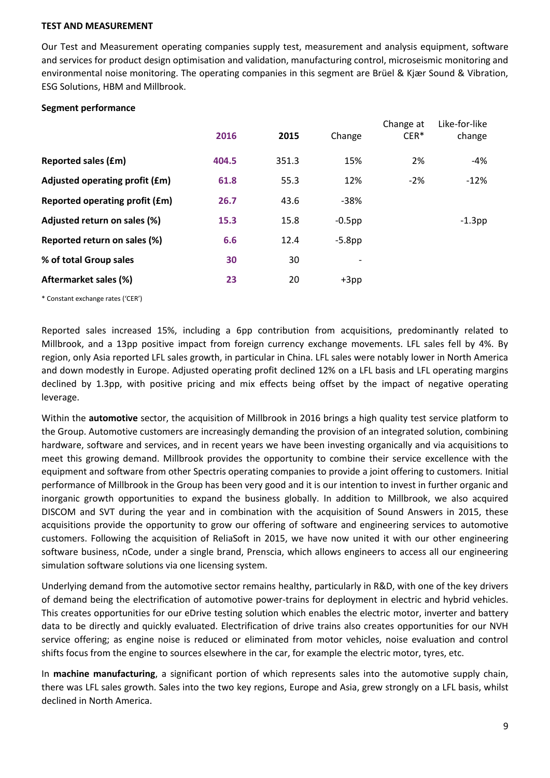# **TEST AND MEASUREMENT**

Our Test and Measurement operating companies supply test, measurement and analysis equipment, software and services for product design optimisation and validation, manufacturing control, microseismic monitoring and environmental noise monitoring. The operating companies in this segment are Brüel & Kjær Sound & Vibration, ESG Solutions, HBM and Millbrook.

# **Segment performance**

|                                | 2016  | 2015  | Change                   | Change at<br>$CER*$ | Like-for-like<br>change |
|--------------------------------|-------|-------|--------------------------|---------------------|-------------------------|
| <b>Reported sales (£m)</b>     | 404.5 | 351.3 | 15%                      | 2%                  | -4%                     |
| Adjusted operating profit (£m) | 61.8  | 55.3  | 12%                      | $-2%$               | $-12%$                  |
| Reported operating profit (£m) | 26.7  | 43.6  | $-38%$                   |                     |                         |
| Adjusted return on sales (%)   | 15.3  | 15.8  | $-0.5$ pp                |                     | $-1.3$ pp               |
| Reported return on sales (%)   | 6.6   | 12.4  | $-5.8$ pp                |                     |                         |
| % of total Group sales         | 30    | 30    | $\overline{\phantom{a}}$ |                     |                         |
| Aftermarket sales (%)          | 23    | 20    | $+3pp$                   |                     |                         |

\* Constant exchange rates ('CER')

Reported sales increased 15%, including a 6pp contribution from acquisitions, predominantly related to Millbrook, and a 13pp positive impact from foreign currency exchange movements. LFL sales fell by 4%. By region, only Asia reported LFL sales growth, in particular in China. LFL sales were notably lower in North America and down modestly in Europe. Adjusted operating profit declined 12% on a LFL basis and LFL operating margins declined by 1.3pp, with positive pricing and mix effects being offset by the impact of negative operating leverage.

Within the **automotive** sector, the acquisition of Millbrook in 2016 brings a high quality test service platform to the Group. Automotive customers are increasingly demanding the provision of an integrated solution, combining hardware, software and services, and in recent years we have been investing organically and via acquisitions to meet this growing demand. Millbrook provides the opportunity to combine their service excellence with the equipment and software from other Spectris operating companies to provide a joint offering to customers. Initial performance of Millbrook in the Group has been very good and it is our intention to invest in further organic and inorganic growth opportunities to expand the business globally. In addition to Millbrook, we also acquired DISCOM and SVT during the year and in combination with the acquisition of Sound Answers in 2015, these acquisitions provide the opportunity to grow our offering of software and engineering services to automotive customers. Following the acquisition of ReliaSoft in 2015, we have now united it with our other engineering software business, nCode, under a single brand, Prenscia, which allows engineers to access all our engineering simulation software solutions via one licensing system.

Underlying demand from the automotive sector remains healthy, particularly in R&D, with one of the key drivers of demand being the electrification of automotive power-trains for deployment in electric and hybrid vehicles. This creates opportunities for our eDrive testing solution which enables the electric motor, inverter and battery data to be directly and quickly evaluated. Electrification of drive trains also creates opportunities for our NVH service offering; as engine noise is reduced or eliminated from motor vehicles, noise evaluation and control shifts focus from the engine to sources elsewhere in the car, for example the electric motor, tyres, etc.

In **machine manufacturing**, a significant portion of which represents sales into the automotive supply chain, there was LFL sales growth. Sales into the two key regions, Europe and Asia, grew strongly on a LFL basis, whilst declined in North America.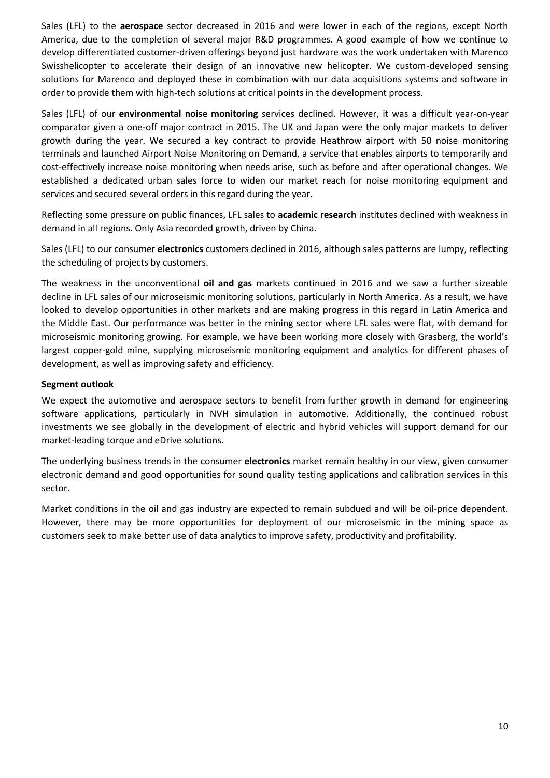Sales (LFL) to the **aerospace** sector decreased in 2016 and were lower in each of the regions, except North America, due to the completion of several major R&D programmes. A good example of how we continue to develop differentiated customer-driven offerings beyond just hardware was the work undertaken with Marenco Swisshelicopter to accelerate their design of an innovative new helicopter. We custom-developed sensing solutions for Marenco and deployed these in combination with our data acquisitions systems and software in order to provide them with high-tech solutions at critical points in the development process.

Sales (LFL) of our **environmental noise monitoring** services declined. However, it was a difficult year-on-year comparator given a one-off major contract in 2015. The UK and Japan were the only major markets to deliver growth during the year. We secured a key contract to provide Heathrow airport with 50 noise monitoring terminals and launched Airport Noise Monitoring on Demand, a service that enables airports to temporarily and cost-effectively increase noise monitoring when needs arise, such as before and after operational changes. We established a dedicated urban sales force to widen our market reach for noise monitoring equipment and services and secured several orders in this regard during the year.

Reflecting some pressure on public finances, LFL sales to **academic research** institutes declined with weakness in demand in all regions. Only Asia recorded growth, driven by China.

Sales (LFL) to our consumer **electronics** customers declined in 2016, although sales patterns are lumpy, reflecting the scheduling of projects by customers.

The weakness in the unconventional **oil and gas** markets continued in 2016 and we saw a further sizeable decline in LFL sales of our microseismic monitoring solutions, particularly in North America. As a result, we have looked to develop opportunities in other markets and are making progress in this regard in Latin America and the Middle East. Our performance was better in the mining sector where LFL sales were flat, with demand for microseismic monitoring growing. For example, we have been working more closely with Grasberg, the world's largest copper-gold mine, supplying microseismic monitoring equipment and analytics for different phases of development, as well as improving safety and efficiency.

# **Segment outlook**

We expect the automotive and aerospace sectors to benefit from further growth in demand for engineering software applications, particularly in NVH simulation in automotive. Additionally, the continued robust investments we see globally in the development of electric and hybrid vehicles will support demand for our market-leading torque and eDrive solutions.

The underlying business trends in the consumer **electronics** market remain healthy in our view, given consumer electronic demand and good opportunities for sound quality testing applications and calibration services in this sector.

Market conditions in the oil and gas industry are expected to remain subdued and will be oil-price dependent. However, there may be more opportunities for deployment of our microseismic in the mining space as customers seek to make better use of data analytics to improve safety, productivity and profitability.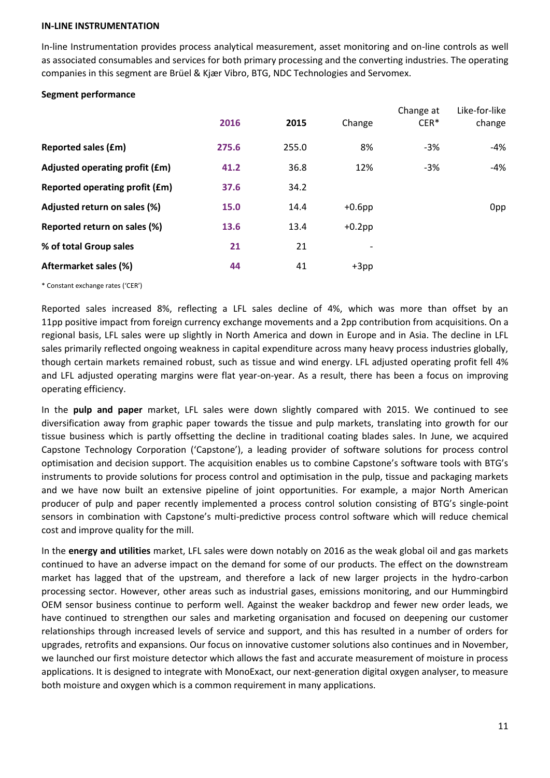#### **IN-LINE INSTRUMENTATION**

In-line Instrumentation provides process analytical measurement, asset monitoring and on-line controls as well as associated consumables and services for both primary processing and the converting industries. The operating companies in this segment are Brüel & Kjær Vibro, BTG, NDC Technologies and Servomex.

# **Segment performance**

|                                | 2016  | 2015  | Change    | Change at<br>CER* | Like-for-like<br>change |
|--------------------------------|-------|-------|-----------|-------------------|-------------------------|
| <b>Reported sales (£m)</b>     | 275.6 | 255.0 | 8%        | $-3%$             | -4%                     |
| Adjusted operating profit (£m) | 41.2  | 36.8  | 12%       | $-3%$             | $-4%$                   |
| Reported operating profit (£m) | 37.6  | 34.2  |           |                   |                         |
| Adjusted return on sales (%)   | 15.0  | 14.4  | $+0.6$ pp |                   | 0pp                     |
| Reported return on sales (%)   | 13.6  | 13.4  | $+0.2$ pp |                   |                         |
| % of total Group sales         | 21    | 21    |           |                   |                         |
| Aftermarket sales (%)          | 44    | 41    | $+3pp$    |                   |                         |
|                                |       |       |           |                   |                         |

\* Constant exchange rates ('CER')

Reported sales increased 8%, reflecting a LFL sales decline of 4%, which was more than offset by an 11pp positive impact from foreign currency exchange movements and a 2pp contribution from acquisitions. On a regional basis, LFL sales were up slightly in North America and down in Europe and in Asia. The decline in LFL sales primarily reflected ongoing weakness in capital expenditure across many heavy process industries globally, though certain markets remained robust, such as tissue and wind energy. LFL adjusted operating profit fell 4% and LFL adjusted operating margins were flat year-on-year. As a result, there has been a focus on improving operating efficiency.

In the **pulp and paper** market, LFL sales were down slightly compared with 2015. We continued to see diversification away from graphic paper towards the tissue and pulp markets, translating into growth for our tissue business which is partly offsetting the decline in traditional coating blades sales. In June, we acquired Capstone Technology Corporation ('Capstone'), a leading provider of software solutions for process control optimisation and decision support. The acquisition enables us to combine Capstone's software tools with BTG's instruments to provide solutions for process control and optimisation in the pulp, tissue and packaging markets and we have now built an extensive pipeline of joint opportunities. For example, a major North American producer of pulp and paper recently implemented a process control solution consisting of BTG's single-point sensors in combination with Capstone's multi-predictive process control software which will reduce chemical cost and improve quality for the mill.

In the **energy and utilities** market, LFL sales were down notably on 2016 as the weak global oil and gas markets continued to have an adverse impact on the demand for some of our products. The effect on the downstream market has lagged that of the upstream, and therefore a lack of new larger projects in the hydro-carbon processing sector. However, other areas such as industrial gases, emissions monitoring, and our Hummingbird OEM sensor business continue to perform well. Against the weaker backdrop and fewer new order leads, we have continued to strengthen our sales and marketing organisation and focused on deepening our customer relationships through increased levels of service and support, and this has resulted in a number of orders for upgrades, retrofits and expansions. Our focus on innovative customer solutions also continues and in November, we launched our first moisture detector which allows the fast and accurate measurement of moisture in process applications. It is designed to integrate with MonoExact, our next-generation digital oxygen analyser, to measure both moisture and oxygen which is a common requirement in many applications.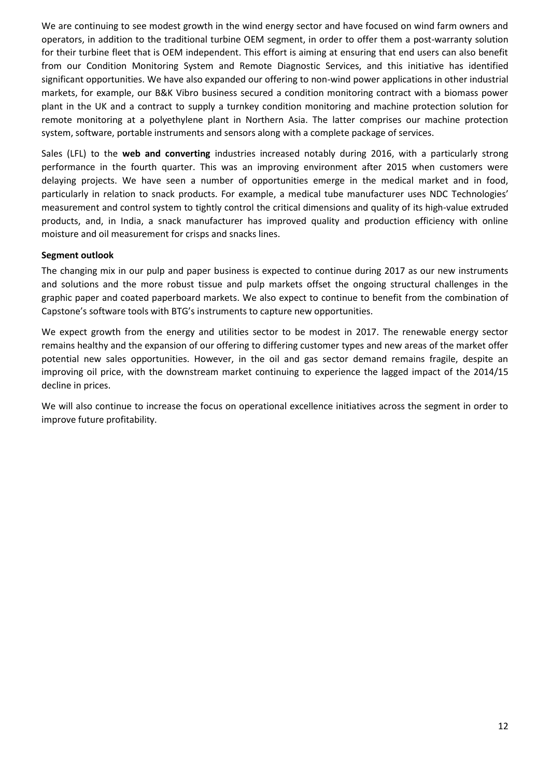We are continuing to see modest growth in the wind energy sector and have focused on wind farm owners and operators, in addition to the traditional turbine OEM segment, in order to offer them a post-warranty solution for their turbine fleet that is OEM independent. This effort is aiming at ensuring that end users can also benefit from our Condition Monitoring System and Remote Diagnostic Services, and this initiative has identified significant opportunities. We have also expanded our offering to non-wind power applications in other industrial markets, for example, our B&K Vibro business secured a condition monitoring contract with a biomass power plant in the UK and a contract to supply a turnkey condition monitoring and machine protection solution for remote monitoring at a polyethylene plant in Northern Asia. The latter comprises our machine protection system, software, portable instruments and sensors along with a complete package of services.

Sales (LFL) to the **web and converting** industries increased notably during 2016, with a particularly strong performance in the fourth quarter. This was an improving environment after 2015 when customers were delaying projects. We have seen a number of opportunities emerge in the medical market and in food, particularly in relation to snack products. For example, a medical tube manufacturer uses NDC Technologies' measurement and control system to tightly control the critical dimensions and quality of its high-value extruded products, and, in India, a snack manufacturer has improved quality and production efficiency with online moisture and oil measurement for crisps and snacks lines.

# **Segment outlook**

The changing mix in our pulp and paper business is expected to continue during 2017 as our new instruments and solutions and the more robust tissue and pulp markets offset the ongoing structural challenges in the graphic paper and coated paperboard markets. We also expect to continue to benefit from the combination of Capstone's software tools with BTG's instruments to capture new opportunities.

We expect growth from the energy and utilities sector to be modest in 2017. The renewable energy sector remains healthy and the expansion of our offering to differing customer types and new areas of the market offer potential new sales opportunities. However, in the oil and gas sector demand remains fragile, despite an improving oil price, with the downstream market continuing to experience the lagged impact of the 2014/15 decline in prices.

We will also continue to increase the focus on operational excellence initiatives across the segment in order to improve future profitability.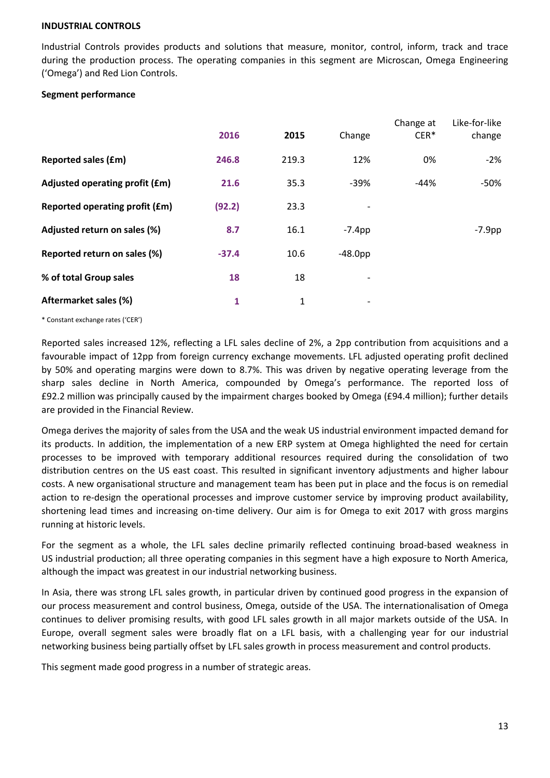### **INDUSTRIAL CONTROLS**

Industrial Controls provides products and solutions that measure, monitor, control, inform, track and trace during the production process. The operating companies in this segment are Microscan, Omega Engineering ('Omega') and Red Lion Controls.

# **Segment performance**

|                                | 2016    | 2015  | Change                   | Change at<br>$CER*$ | Like-for-like<br>change |
|--------------------------------|---------|-------|--------------------------|---------------------|-------------------------|
| <b>Reported sales (£m)</b>     | 246.8   | 219.3 | 12%                      | 0%                  | $-2%$                   |
| Adjusted operating profit (£m) | 21.6    | 35.3  | $-39%$                   | $-44%$              | -50%                    |
| Reported operating profit (£m) | (92.2)  | 23.3  |                          |                     |                         |
| Adjusted return on sales (%)   | 8.7     | 16.1  | $-7.4$ pp                |                     | $-7.9$ pp               |
| Reported return on sales (%)   | $-37.4$ | 10.6  | $-48.0pp$                |                     |                         |
| % of total Group sales         | 18      | 18    | -                        |                     |                         |
| Aftermarket sales (%)          | 1       | 1     | $\overline{\phantom{a}}$ |                     |                         |

\* Constant exchange rates ('CER')

Reported sales increased 12%, reflecting a LFL sales decline of 2%, a 2pp contribution from acquisitions and a favourable impact of 12pp from foreign currency exchange movements. LFL adjusted operating profit declined by 50% and operating margins were down to 8.7%. This was driven by negative operating leverage from the sharp sales decline in North America, compounded by Omega's performance. The reported loss of £92.2 million was principally caused by the impairment charges booked by Omega (£94.4 million); further details are provided in the Financial Review.

Omega derives the majority of sales from the USA and the weak US industrial environment impacted demand for its products. In addition, the implementation of a new ERP system at Omega highlighted the need for certain processes to be improved with temporary additional resources required during the consolidation of two distribution centres on the US east coast. This resulted in significant inventory adjustments and higher labour costs. A new organisational structure and management team has been put in place and the focus is on remedial action to re-design the operational processes and improve customer service by improving product availability, shortening lead times and increasing on-time delivery. Our aim is for Omega to exit 2017 with gross margins running at historic levels.

For the segment as a whole, the LFL sales decline primarily reflected continuing broad-based weakness in US industrial production; all three operating companies in this segment have a high exposure to North America, although the impact was greatest in our industrial networking business.

In Asia, there was strong LFL sales growth, in particular driven by continued good progress in the expansion of our process measurement and control business, Omega, outside of the USA. The internationalisation of Omega continues to deliver promising results, with good LFL sales growth in all major markets outside of the USA. In Europe, overall segment sales were broadly flat on a LFL basis, with a challenging year for our industrial networking business being partially offset by LFL sales growth in process measurement and control products.

This segment made good progress in a number of strategic areas.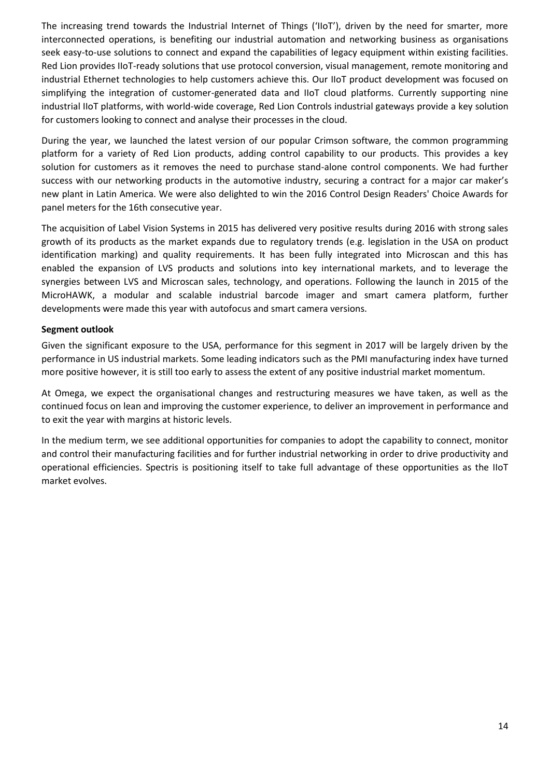The increasing trend towards the Industrial Internet of Things ('IIoT'), driven by the need for smarter, more interconnected operations, is benefiting our industrial automation and networking business as organisations seek easy-to-use solutions to connect and expand the capabilities of legacy equipment within existing facilities. Red Lion provides IIoT-ready solutions that use protocol conversion, visual management, remote monitoring and industrial Ethernet technologies to help customers achieve this. Our IIoT product development was focused on simplifying the integration of customer-generated data and IIoT cloud platforms. Currently supporting nine industrial IIoT platforms, with world-wide coverage, Red Lion Controls industrial gateways provide a key solution for customers looking to connect and analyse their processes in the cloud.

During the year, we launched the latest version of our popular Crimson software, the common programming platform for a variety of Red Lion products, adding control capability to our products. This provides a key solution for customers as it removes the need to purchase stand-alone control components. We had further success with our networking products in the automotive industry, securing a contract for a major car maker's new plant in Latin America. We were also delighted to win the 2016 Control Design Readers' Choice Awards for [panel meters](http://www.redlion.net/Products/DigitalandAnalog.html) for the 16th consecutive year.

The acquisition of Label Vision Systems in 2015 has delivered very positive results during 2016 with strong sales growth of its products as the market expands due to regulatory trends (e.g. legislation in the USA on product identification marking) and quality requirements. It has been fully integrated into Microscan and this has enabled the expansion of LVS products and solutions into key international markets, and to leverage the synergies between LVS and Microscan sales, technology, and operations. Following the launch in 2015 of the MicroHAWK, a modular and scalable industrial barcode imager and smart camera platform, further developments were made this year with autofocus and smart camera versions.

# **Segment outlook**

Given the significant exposure to the USA, performance for this segment in 2017 will be largely driven by the performance in US industrial markets. Some leading indicators such as the PMI manufacturing index have turned more positive however, it is still too early to assess the extent of any positive industrial market momentum.

At Omega, we expect the organisational changes and restructuring measures we have taken, as well as the continued focus on lean and improving the customer experience, to deliver an improvement in performance and to exit the year with margins at historic levels.

In the medium term, we see additional opportunities for companies to adopt the capability to connect, monitor and control their manufacturing facilities and for further industrial networking in order to drive productivity and operational efficiencies. Spectris is positioning itself to take full advantage of these opportunities as the IIoT market evolves.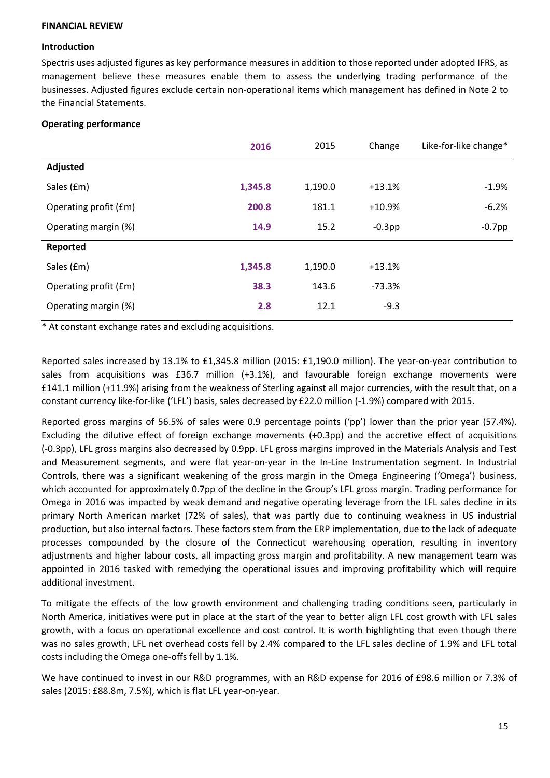# **FINANCIAL REVIEW**

# **Introduction**

Spectris uses adjusted figures as key performance measures in addition to those reported under adopted IFRS, as management believe these measures enable them to assess the underlying trading performance of the businesses. Adjusted figures exclude certain non-operational items which management has defined in Note 2 to the Financial Statements.

# **Operating performance**

|                       | 2016    | 2015    | Change    | Like-for-like change* |
|-----------------------|---------|---------|-----------|-----------------------|
| Adjusted              |         |         |           |                       |
| Sales (£m)            | 1,345.8 | 1,190.0 | $+13.1%$  | $-1.9%$               |
| Operating profit (£m) | 200.8   | 181.1   | $+10.9%$  | $-6.2%$               |
| Operating margin (%)  | 14.9    | 15.2    | $-0.3$ pp | $-0.7$ pp             |
| Reported              |         |         |           |                       |
| Sales (£m)            | 1,345.8 | 1,190.0 | $+13.1%$  |                       |
| Operating profit (£m) | 38.3    | 143.6   | $-73.3%$  |                       |
| Operating margin (%)  | 2.8     | 12.1    | $-9.3$    |                       |

\* At constant exchange rates and excluding acquisitions.

Reported sales increased by 13.1% to £1,345.8 million (2015: £1,190.0 million). The year-on-year contribution to sales from acquisitions was £36.7 million (+3.1%), and favourable foreign exchange movements were £141.1 million (+11.9%) arising from the weakness of Sterling against all major currencies, with the result that, on a constant currency like-for-like ('LFL') basis, sales decreased by £22.0 million (-1.9%) compared with 2015.

Reported gross margins of 56.5% of sales were 0.9 percentage points ('pp') lower than the prior year (57.4%). Excluding the dilutive effect of foreign exchange movements (+0.3pp) and the accretive effect of acquisitions (-0.3pp), LFL gross margins also decreased by 0.9pp. LFL gross margins improved in the Materials Analysis and Test and Measurement segments, and were flat year-on-year in the In-Line Instrumentation segment. In Industrial Controls, there was a significant weakening of the gross margin in the Omega Engineering ('Omega') business, which accounted for approximately 0.7pp of the decline in the Group's LFL gross margin. Trading performance for Omega in 2016 was impacted by weak demand and negative operating leverage from the LFL sales decline in its primary North American market (72% of sales), that was partly due to continuing weakness in US industrial production, but also internal factors. These factors stem from the ERP implementation, due to the lack of adequate processes compounded by the closure of the Connecticut warehousing operation, resulting in inventory adjustments and higher labour costs, all impacting gross margin and profitability. A new management team was appointed in 2016 tasked with remedying the operational issues and improving profitability which will require additional investment.

To mitigate the effects of the low growth environment and challenging trading conditions seen, particularly in North America, initiatives were put in place at the start of the year to better align LFL cost growth with LFL sales growth, with a focus on operational excellence and cost control. It is worth highlighting that even though there was no sales growth, LFL net overhead costs fell by 2.4% compared to the LFL sales decline of 1.9% and LFL total costs including the Omega one-offs fell by 1.1%.

We have continued to invest in our R&D programmes, with an R&D expense for 2016 of £98.6 million or 7.3% of sales (2015: £88.8m, 7.5%), which is flat LFL year-on-year.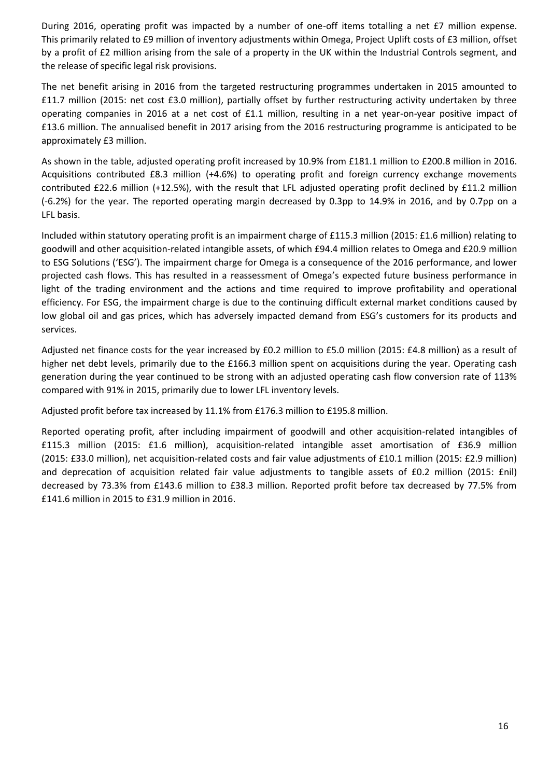During 2016, operating profit was impacted by a number of one-off items totalling a net £7 million expense. This primarily related to £9 million of inventory adjustments within Omega, Project Uplift costs of £3 million, offset by a profit of £2 million arising from the sale of a property in the UK within the Industrial Controls segment, and the release of specific legal risk provisions.

The net benefit arising in 2016 from the targeted restructuring programmes undertaken in 2015 amounted to £11.7 million (2015: net cost £3.0 million), partially offset by further restructuring activity undertaken by three operating companies in 2016 at a net cost of £1.1 million, resulting in a net year-on-year positive impact of £13.6 million. The annualised benefit in 2017 arising from the 2016 restructuring programme is anticipated to be approximately £3 million.

As shown in the table, adjusted operating profit increased by 10.9% from £181.1 million to £200.8 million in 2016. Acquisitions contributed £8.3 million (+4.6%) to operating profit and foreign currency exchange movements contributed £22.6 million (+12.5%), with the result that LFL adjusted operating profit declined by £11.2 million (-6.2%) for the year. The reported operating margin decreased by 0.3pp to 14.9% in 2016, and by 0.7pp on a LFL basis.

Included within statutory operating profit is an impairment charge of £115.3 million (2015: £1.6 million) relating to goodwill and other acquisition-related intangible assets, of which £94.4 million relates to Omega and £20.9 million to ESG Solutions ('ESG'). The impairment charge for Omega is a consequence of the 2016 performance, and lower projected cash flows. This has resulted in a reassessment of Omega's expected future business performance in light of the trading environment and the actions and time required to improve profitability and operational efficiency. For ESG, the impairment charge is due to the continuing difficult external market conditions caused by low global oil and gas prices, which has adversely impacted demand from ESG's customers for its products and services.

Adjusted net finance costs for the year increased by £0.2 million to £5.0 million (2015: £4.8 million) as a result of higher net debt levels, primarily due to the £166.3 million spent on acquisitions during the year. Operating cash generation during the year continued to be strong with an adjusted operating cash flow conversion rate of 113% compared with 91% in 2015, primarily due to lower LFL inventory levels.

Adjusted profit before tax increased by 11.1% from £176.3 million to £195.8 million.

Reported operating profit, after including impairment of goodwill and other acquisition-related intangibles of £115.3 million (2015: £1.6 million), acquisition-related intangible asset amortisation of £36.9 million (2015: £33.0 million), net acquisition-related costs and fair value adjustments of £10.1 million (2015: £2.9 million) and deprecation of acquisition related fair value adjustments to tangible assets of £0.2 million (2015: £nil) decreased by 73.3% from £143.6 million to £38.3 million. Reported profit before tax decreased by 77.5% from £141.6 million in 2015 to £31.9 million in 2016.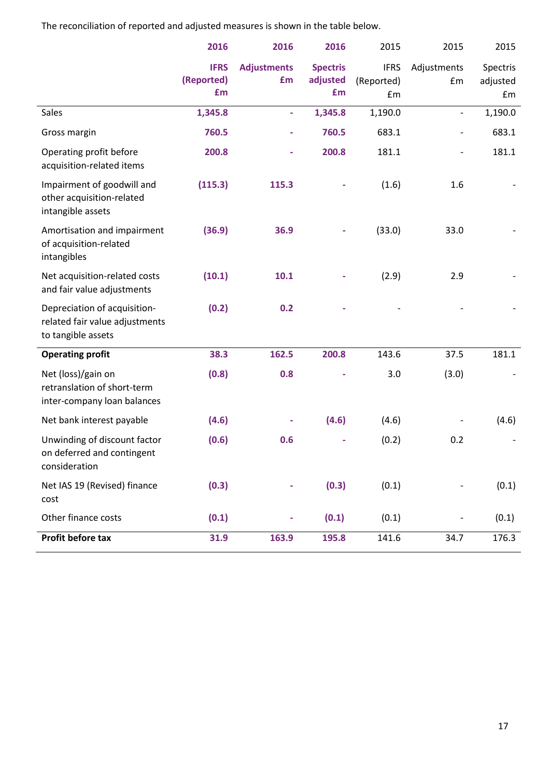The reconciliation of reported and adjusted measures is shown in the table below.

|                                                                                      | 2016                            | 2016                     | 2016                              | 2015                            | 2015                     | 2015                       |
|--------------------------------------------------------------------------------------|---------------------------------|--------------------------|-----------------------------------|---------------------------------|--------------------------|----------------------------|
|                                                                                      | <b>IFRS</b><br>(Reported)<br>£m | <b>Adjustments</b><br>£m | <b>Spectris</b><br>adjusted<br>£m | <b>IFRS</b><br>(Reported)<br>£m | Adjustments<br>£m        | Spectris<br>adjusted<br>£m |
| Sales                                                                                | 1,345.8                         | $\blacksquare$           | 1,345.8                           | 1,190.0                         | $\overline{\phantom{a}}$ | 1,190.0                    |
| Gross margin                                                                         | 760.5                           |                          | 760.5                             | 683.1                           |                          | 683.1                      |
| Operating profit before<br>acquisition-related items                                 | 200.8                           |                          | 200.8                             | 181.1                           |                          | 181.1                      |
| Impairment of goodwill and<br>other acquisition-related<br>intangible assets         | (115.3)                         | 115.3                    |                                   | (1.6)                           | 1.6                      |                            |
| Amortisation and impairment<br>of acquisition-related<br>intangibles                 | (36.9)                          | 36.9                     |                                   | (33.0)                          | 33.0                     |                            |
| Net acquisition-related costs<br>and fair value adjustments                          | (10.1)                          | 10.1                     |                                   | (2.9)                           | 2.9                      |                            |
| Depreciation of acquisition-<br>related fair value adjustments<br>to tangible assets | (0.2)                           | 0.2                      |                                   |                                 |                          |                            |
| <b>Operating profit</b>                                                              | 38.3                            | 162.5                    | 200.8                             | 143.6                           | 37.5                     | 181.1                      |
| Net (loss)/gain on<br>retranslation of short-term<br>inter-company loan balances     | (0.8)                           | 0.8                      |                                   | 3.0                             | (3.0)                    |                            |
| Net bank interest payable                                                            | (4.6)                           |                          | (4.6)                             | (4.6)                           |                          | (4.6)                      |
| Unwinding of discount factor<br>on deferred and contingent<br>consideration          | (0.6)                           | 0.6                      |                                   | (0.2)                           | 0.2                      |                            |
| Net IAS 19 (Revised) finance<br>cost                                                 | (0.3)                           |                          | (0.3)                             | (0.1)                           |                          | (0.1)                      |
| Other finance costs                                                                  | (0.1)                           |                          | (0.1)                             | (0.1)                           |                          | (0.1)                      |
| Profit before tax                                                                    | 31.9                            | 163.9                    | 195.8                             | 141.6                           | 34.7                     | 176.3                      |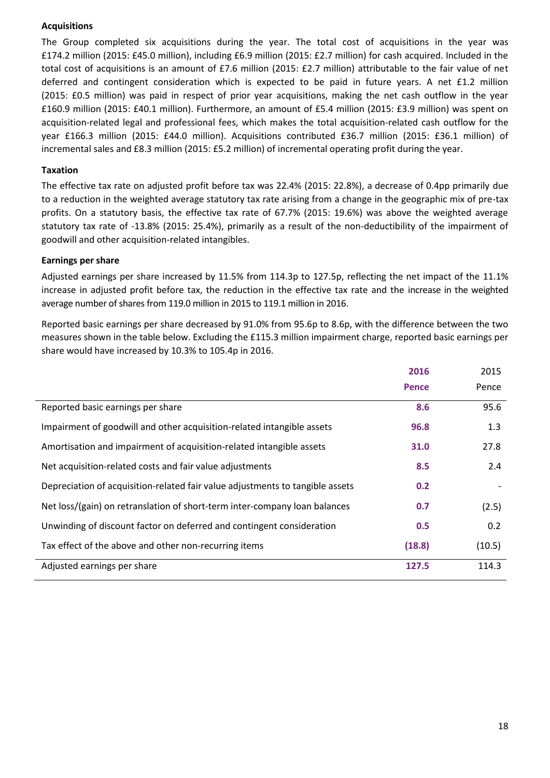# **Acquisitions**

The Group completed six acquisitions during the year. The total cost of acquisitions in the year was £174.2 million (2015: £45.0 million), including £6.9 million (2015: £2.7 million) for cash acquired. Included in the total cost of acquisitions is an amount of £7.6 million (2015: £2.7 million) attributable to the fair value of net deferred and contingent consideration which is expected to be paid in future years. A net £1.2 million (2015: £0.5 million) was paid in respect of prior year acquisitions, making the net cash outflow in the year £160.9 million (2015: £40.1 million). Furthermore, an amount of £5.4 million (2015: £3.9 million) was spent on acquisition-related legal and professional fees, which makes the total acquisition-related cash outflow for the year £166.3 million (2015: £44.0 million). Acquisitions contributed £36.7 million (2015: £36.1 million) of incremental sales and £8.3 million (2015: £5.2 million) of incremental operating profit during the year.

# **Taxation**

The effective tax rate on adjusted profit before tax was 22.4% (2015: 22.8%), a decrease of 0.4pp primarily due to a reduction in the weighted average statutory tax rate arising from a change in the geographic mix of pre-tax profits. On a statutory basis, the effective tax rate of 67.7% (2015: 19.6%) was above the weighted average statutory tax rate of -13.8% (2015: 25.4%), primarily as a result of the non-deductibility of the impairment of goodwill and other acquisition-related intangibles.

# **Earnings per share**

Adjusted earnings per share increased by 11.5% from 114.3p to 127.5p, reflecting the net impact of the 11.1% increase in adjusted profit before tax, the reduction in the effective tax rate and the increase in the weighted average number of shares from 119.0 million in 2015 to 119.1 million in 2016.

Reported basic earnings per share decreased by 91.0% from 95.6p to 8.6p, with the difference between the two measures shown in the table below. Excluding the £115.3 million impairment charge, reported basic earnings per share would have increased by 10.3% to 105.4p in 2016.

|                                                                               | 2016         | 2015   |
|-------------------------------------------------------------------------------|--------------|--------|
|                                                                               | <b>Pence</b> | Pence  |
| Reported basic earnings per share                                             | 8.6          | 95.6   |
| Impairment of goodwill and other acquisition-related intangible assets        | 96.8         | 1.3    |
| Amortisation and impairment of acquisition-related intangible assets          | 31.0         | 27.8   |
| Net acquisition-related costs and fair value adjustments                      | 8.5          | 2.4    |
| Depreciation of acquisition-related fair value adjustments to tangible assets | 0.2          |        |
| Net loss/(gain) on retranslation of short-term inter-company loan balances    | 0.7          | (2.5)  |
| Unwinding of discount factor on deferred and contingent consideration         | 0.5          | 0.2    |
| Tax effect of the above and other non-recurring items                         | (18.8)       | (10.5) |
| Adjusted earnings per share                                                   | 127.5        | 114.3  |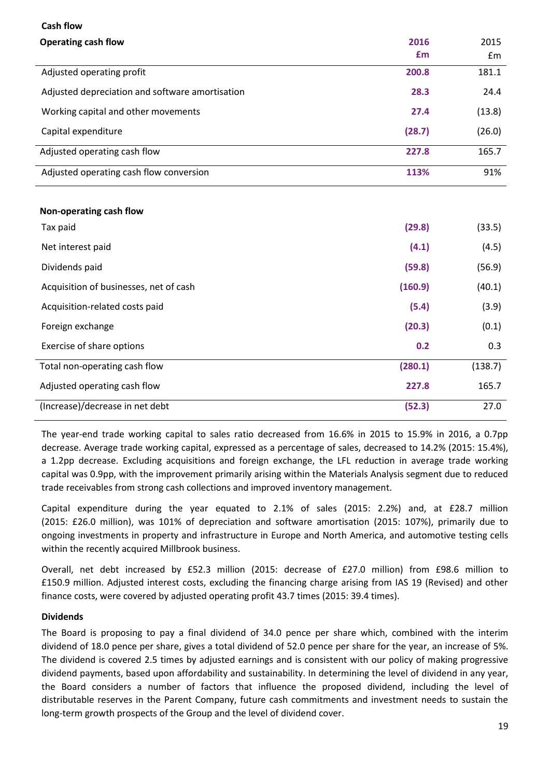| <b>Cash flow</b>                                |         |         |
|-------------------------------------------------|---------|---------|
| <b>Operating cash flow</b>                      | 2016    | 2015    |
|                                                 | £m      | £m      |
| Adjusted operating profit                       | 200.8   | 181.1   |
| Adjusted depreciation and software amortisation | 28.3    | 24.4    |
| Working capital and other movements             | 27.4    | (13.8)  |
| Capital expenditure                             | (28.7)  | (26.0)  |
| Adjusted operating cash flow                    | 227.8   | 165.7   |
| Adjusted operating cash flow conversion         | 113%    | 91%     |
|                                                 |         |         |
| Non-operating cash flow                         |         |         |
| Tax paid                                        | (29.8)  | (33.5)  |
| Net interest paid                               | (4.1)   | (4.5)   |
| Dividends paid                                  | (59.8)  | (56.9)  |
| Acquisition of businesses, net of cash          | (160.9) | (40.1)  |
| Acquisition-related costs paid                  | (5.4)   | (3.9)   |
| Foreign exchange                                | (20.3)  | (0.1)   |
| Exercise of share options                       | 0.2     | 0.3     |
| Total non-operating cash flow                   | (280.1) | (138.7) |
| Adjusted operating cash flow                    | 227.8   | 165.7   |
| (Increase)/decrease in net debt                 | (52.3)  | 27.0    |

The year-end trade working capital to sales ratio decreased from 16.6% in 2015 to 15.9% in 2016, a 0.7pp decrease. Average trade working capital, expressed as a percentage of sales, decreased to 14.2% (2015: 15.4%), a 1.2pp decrease. Excluding acquisitions and foreign exchange, the LFL reduction in average trade working capital was 0.9pp, with the improvement primarily arising within the Materials Analysis segment due to reduced trade receivables from strong cash collections and improved inventory management.

Capital expenditure during the year equated to 2.1% of sales (2015: 2.2%) and, at £28.7 million (2015: £26.0 million), was 101% of depreciation and software amortisation (2015: 107%), primarily due to ongoing investments in property and infrastructure in Europe and North America, and automotive testing cells within the recently acquired Millbrook business.

Overall, net debt increased by £52.3 million (2015: decrease of £27.0 million) from £98.6 million to £150.9 million. Adjusted interest costs, excluding the financing charge arising from IAS 19 (Revised) and other finance costs, were covered by adjusted operating profit 43.7 times (2015: 39.4 times).

# **Dividends**

The Board is proposing to pay a final dividend of 34.0 pence per share which, combined with the interim dividend of 18.0 pence per share, gives a total dividend of 52.0 pence per share for the year, an increase of 5%. The dividend is covered 2.5 times by adjusted earnings and is consistent with our policy of making progressive dividend payments, based upon affordability and sustainability. In determining the level of dividend in any year, the Board considers a number of factors that influence the proposed dividend, including the level of distributable reserves in the Parent Company, future cash commitments and investment needs to sustain the long-term growth prospects of the Group and the level of dividend cover.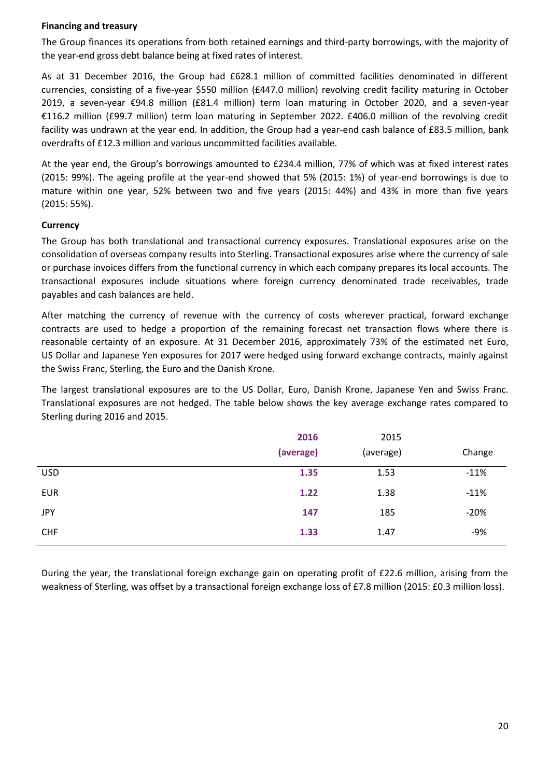# **Financing and treasury**

The Group finances its operations from both retained earnings and third-party borrowings, with the majority of the year-end gross debt balance being at fixed rates of interest.

As at 31 December 2016, the Group had £628.1 million of committed facilities denominated in different currencies, consisting of a five-year \$550 million (£447.0 million) revolving credit facility maturing in October 2019, a seven-year €94.8 million (£81.4 million) term loan maturing in October 2020, and a seven-year €116.2 million (£99.7 million) term loan maturing in September 2022. £406.0 million of the revolving credit facility was undrawn at the year end. In addition, the Group had a year-end cash balance of £83.5 million, bank overdrafts of £12.3 million and various uncommitted facilities available.

At the year end, the Group's borrowings amounted to £234.4 million, 77% of which was at fixed interest rates (2015: 99%). The ageing profile at the year-end showed that 5% (2015: 1%) of year-end borrowings is due to mature within one year, 52% between two and five years (2015: 44%) and 43% in more than five years (2015: 55%).

# **Currency**

The Group has both translational and transactional currency exposures. Translational exposures arise on the consolidation of overseas company results into Sterling. Transactional exposures arise where the currency of sale or purchase invoices differs from the functional currency in which each company prepares its local accounts. The transactional exposures include situations where foreign currency denominated trade receivables, trade payables and cash balances are held.

After matching the currency of revenue with the currency of costs wherever practical, forward exchange contracts are used to hedge a proportion of the remaining forecast net transaction flows where there is reasonable certainty of an exposure. At 31 December 2016, approximately 73% of the estimated net Euro, US Dollar and Japanese Yen exposures for 2017 were hedged using forward exchange contracts, mainly against the Swiss Franc, Sterling, the Euro and the Danish Krone.

The largest translational exposures are to the US Dollar, Euro, Danish Krone, Japanese Yen and Swiss Franc. Translational exposures are not hedged. The table below shows the key average exchange rates compared to Sterling during 2016 and 2015.

|            | 2016      | 2015      |        |
|------------|-----------|-----------|--------|
|            | (average) | (average) | Change |
| <b>USD</b> | 1.35      | 1.53      | $-11%$ |
| <b>EUR</b> | 1.22      | 1.38      | $-11%$ |
| <b>JPY</b> | 147       | 185       | $-20%$ |
| <b>CHF</b> | 1.33      | 1.47      | $-9%$  |

During the year, the translational foreign exchange gain on operating profit of £22.6 million, arising from the weakness of Sterling, was offset by a transactional foreign exchange loss of £7.8 million (2015: £0.3 million loss).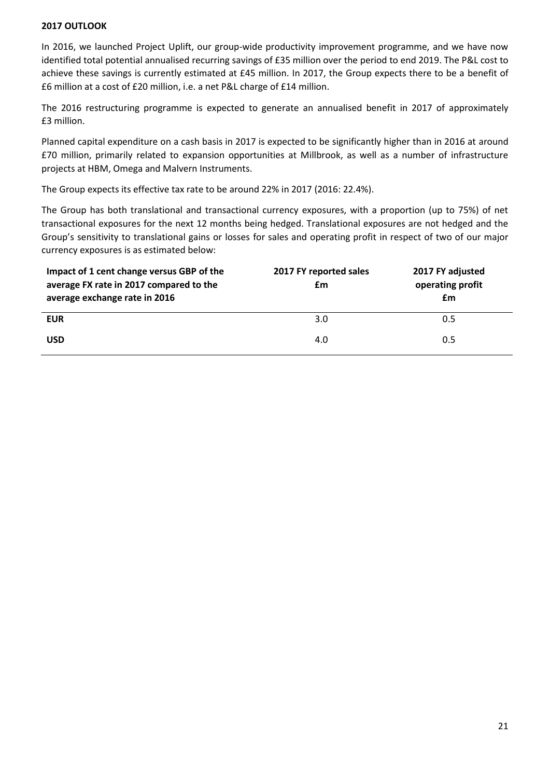# **2017 OUTLOOK**

In 2016, we launched Project Uplift, our group-wide productivity improvement programme, and we have now identified total potential annualised recurring savings of £35 million over the period to end 2019. The P&L cost to achieve these savings is currently estimated at £45 million. In 2017, the Group expects there to be a benefit of £6 million at a cost of £20 million, i.e. a net P&L charge of £14 million.

The 2016 restructuring programme is expected to generate an annualised benefit in 2017 of approximately £3 million.

Planned capital expenditure on a cash basis in 2017 is expected to be significantly higher than in 2016 at around £70 million, primarily related to expansion opportunities at Millbrook, as well as a number of infrastructure projects at HBM, Omega and Malvern Instruments.

The Group expects its effective tax rate to be around 22% in 2017 (2016: 22.4%).

The Group has both translational and transactional currency exposures, with a proportion (up to 75%) of net transactional exposures for the next 12 months being hedged. Translational exposures are not hedged and the Group's sensitivity to translational gains or losses for sales and operating profit in respect of two of our major currency exposures is as estimated below:

| 2017 FY reported sales | 2017 FY adjusted |
|------------------------|------------------|
| £m                     | operating profit |
|                        | £m               |
| 3.0                    | 0.5              |
|                        |                  |
| 4.0                    | 0.5              |
|                        |                  |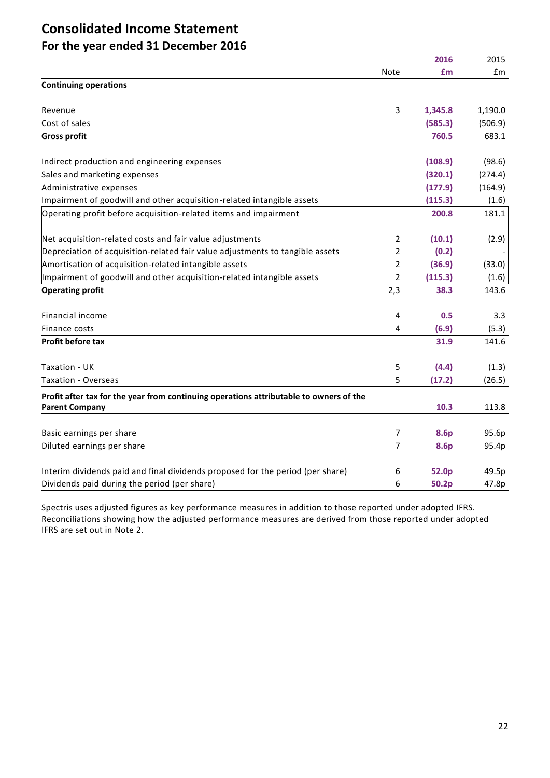# **Consolidated Income Statement For the year ended 31 December 2016**

|                                                                                        |                | 2016    | 2015    |
|----------------------------------------------------------------------------------------|----------------|---------|---------|
|                                                                                        | Note           | £m      | Em      |
| <b>Continuing operations</b>                                                           |                |         |         |
| Revenue                                                                                | 3              | 1,345.8 | 1,190.0 |
| Cost of sales                                                                          |                | (585.3) | (506.9) |
| <b>Gross profit</b>                                                                    |                | 760.5   | 683.1   |
| Indirect production and engineering expenses                                           |                | (108.9) | (98.6)  |
| Sales and marketing expenses                                                           |                | (320.1) | (274.4) |
| Administrative expenses                                                                |                | (177.9) | (164.9) |
| Impairment of goodwill and other acquisition-related intangible assets                 |                | (115.3) | (1.6)   |
| Operating profit before acquisition-related items and impairment                       |                | 200.8   | 181.1   |
| Net acquisition-related costs and fair value adjustments                               | $\overline{2}$ | (10.1)  | (2.9)   |
| Depreciation of acquisition-related fair value adjustments to tangible assets          | $\overline{2}$ | (0.2)   |         |
| Amortisation of acquisition-related intangible assets                                  | $\overline{2}$ | (36.9)  | (33.0)  |
| Impairment of goodwill and other acquisition-related intangible assets                 | 2              | (115.3) | (1.6)   |
| <b>Operating profit</b>                                                                | 2,3            | 38.3    | 143.6   |
| Financial income                                                                       | 4              | 0.5     | 3.3     |
| Finance costs                                                                          | $\overline{4}$ | (6.9)   | (5.3)   |
| Profit before tax                                                                      |                | 31.9    | 141.6   |
| Taxation - UK                                                                          | 5              | (4.4)   | (1.3)   |
| <b>Taxation - Overseas</b>                                                             | 5              | (17.2)  | (26.5)  |
| Profit after tax for the year from continuing operations attributable to owners of the |                |         |         |
| <b>Parent Company</b>                                                                  |                | 10.3    | 113.8   |
| Basic earnings per share                                                               | 7              | 8.6p    | 95.6p   |
| Diluted earnings per share                                                             | $\overline{7}$ | 8.6p    | 95.4p   |
| Interim dividends paid and final dividends proposed for the period (per share)         | 6              | 52.0p   | 49.5p   |
| Dividends paid during the period (per share)                                           | 6              | 50.2p   | 47.8p   |

Spectris uses adjusted figures as key performance measures in addition to those reported under adopted IFRS. Reconciliations showing how the adjusted performance measures are derived from those reported under adopted IFRS are set out in Note 2.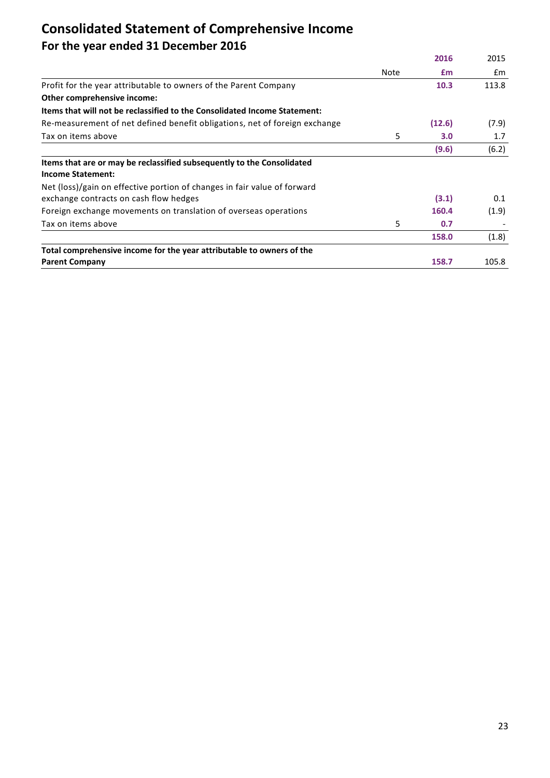# **Consolidated Statement of Comprehensive Income For the year ended 31 December 2016**

|                                                                                                    |      | 2016   | 2015  |
|----------------------------------------------------------------------------------------------------|------|--------|-------|
|                                                                                                    | Note | £m     | £m    |
| Profit for the year attributable to owners of the Parent Company                                   |      | 10.3   | 113.8 |
| Other comprehensive income:                                                                        |      |        |       |
| Items that will not be reclassified to the Consolidated Income Statement:                          |      |        |       |
| Re-measurement of net defined benefit obligations, net of foreign exchange                         |      | (12.6) | (7.9) |
| Tax on items above                                                                                 | 5    | 3.0    | 1.7   |
|                                                                                                    |      | (9.6)  | (6.2) |
| Items that are or may be reclassified subsequently to the Consolidated<br><b>Income Statement:</b> |      |        |       |
| Net (loss)/gain on effective portion of changes in fair value of forward                           |      |        |       |
| exchange contracts on cash flow hedges                                                             |      | (3.1)  | 0.1   |
| Foreign exchange movements on translation of overseas operations                                   |      | 160.4  | (1.9) |
| Tax on items above                                                                                 | 5    | 0.7    |       |
|                                                                                                    |      | 158.0  | (1.8) |
| Total comprehensive income for the year attributable to owners of the                              |      |        |       |
| <b>Parent Company</b>                                                                              |      | 158.7  | 105.8 |
|                                                                                                    |      |        |       |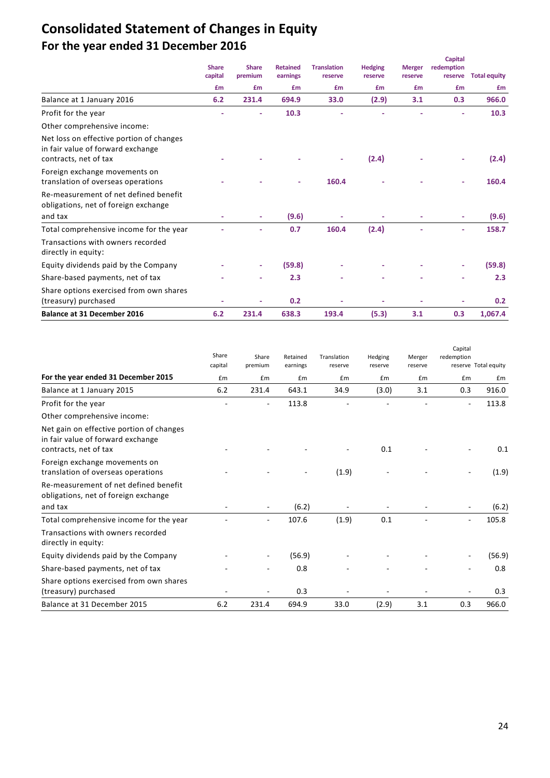# **Consolidated Statement of Changes in Equity For the year ended 31 December 2016**

|                                                                                                        | <b>Share</b><br>capital<br>£m | <b>Share</b><br>premium | <b>Retained</b><br>earnings | <b>Translation</b><br>reserve | <b>Hedging</b><br>reserve | <b>Merger</b><br>reserve | <b>Capital</b><br>redemption<br>reserve | <b>Total equity</b> |
|--------------------------------------------------------------------------------------------------------|-------------------------------|-------------------------|-----------------------------|-------------------------------|---------------------------|--------------------------|-----------------------------------------|---------------------|
|                                                                                                        |                               | £m                      | <b>£m</b>                   | £m                            | £m                        | £m                       | £m                                      | £m                  |
| Balance at 1 January 2016                                                                              | 6.2                           | 231.4                   | 694.9                       | 33.0                          | (2.9)                     | 3.1                      | 0.3                                     | 966.0               |
| Profit for the year                                                                                    |                               |                         | 10.3                        |                               |                           |                          |                                         | 10.3                |
| Other comprehensive income:                                                                            |                               |                         |                             |                               |                           |                          |                                         |                     |
| Net loss on effective portion of changes<br>in fair value of forward exchange<br>contracts, net of tax |                               |                         |                             |                               | (2.4)                     |                          |                                         | (2.4)               |
| Foreign exchange movements on<br>translation of overseas operations                                    |                               |                         |                             | 160.4                         |                           |                          |                                         | 160.4               |
| Re-measurement of net defined benefit<br>obligations, net of foreign exchange                          |                               |                         |                             |                               |                           |                          |                                         |                     |
| and tax                                                                                                |                               |                         | (9.6)                       |                               |                           |                          |                                         | (9.6)               |
| Total comprehensive income for the year                                                                |                               |                         | 0.7                         | 160.4                         | (2.4)                     |                          | ٠                                       | 158.7               |
| Transactions with owners recorded<br>directly in equity:                                               |                               |                         |                             |                               |                           |                          |                                         |                     |
| Equity dividends paid by the Company                                                                   |                               | ٠                       | (59.8)                      |                               |                           |                          | ٠                                       | (59.8)              |
| Share-based payments, net of tax                                                                       |                               |                         | 2.3                         |                               |                           |                          |                                         | 2.3                 |
| Share options exercised from own shares<br>(treasury) purchased                                        |                               |                         | 0.2                         |                               |                           |                          |                                         | 0.2                 |
| <b>Balance at 31 December 2016</b>                                                                     | 6.2                           | 231.4                   | 638.3                       | 193.4                         | (5.3)                     | 3.1                      | 0.3                                     | 1,067.4             |

|                                                                                                        | Share<br>capital | Share<br>premium | Retained<br>earnings | Translation<br>reserve | Hedging<br>reserve | Merger<br>reserve | Capital<br>redemption    | reserve Total equity |
|--------------------------------------------------------------------------------------------------------|------------------|------------------|----------------------|------------------------|--------------------|-------------------|--------------------------|----------------------|
| For the year ended 31 December 2015                                                                    | £m               | £m               | £m                   | £m                     | £m                 | £m                | £m                       | £m                   |
| Balance at 1 January 2015                                                                              | 6.2              | 231.4            | 643.1                | 34.9                   | (3.0)              | 3.1               | 0.3                      | 916.0                |
| Profit for the year                                                                                    |                  |                  | 113.8                |                        |                    |                   | $\overline{\phantom{a}}$ | 113.8                |
| Other comprehensive income:                                                                            |                  |                  |                      |                        |                    |                   |                          |                      |
| Net gain on effective portion of changes<br>in fair value of forward exchange<br>contracts, net of tax |                  |                  |                      |                        | 0.1                |                   |                          | 0.1                  |
| Foreign exchange movements on<br>translation of overseas operations                                    |                  |                  |                      | (1.9)                  |                    |                   |                          | (1.9)                |
| Re-measurement of net defined benefit<br>obligations, net of foreign exchange                          |                  |                  |                      |                        |                    |                   |                          |                      |
| and tax                                                                                                |                  |                  | (6.2)                |                        |                    |                   |                          | (6.2)                |
| Total comprehensive income for the year                                                                |                  |                  | 107.6                | (1.9)                  | 0.1                |                   |                          | 105.8                |
| Transactions with owners recorded<br>directly in equity:                                               |                  |                  |                      |                        |                    |                   |                          |                      |
| Equity dividends paid by the Company                                                                   |                  |                  | (56.9)               |                        |                    |                   |                          | (56.9)               |
| Share-based payments, net of tax                                                                       |                  |                  | 0.8                  |                        |                    |                   |                          | 0.8                  |
| Share options exercised from own shares<br>(treasury) purchased                                        |                  |                  | 0.3                  |                        |                    |                   |                          | 0.3                  |
| Balance at 31 December 2015                                                                            | 6.2              | 231.4            | 694.9                | 33.0                   | (2.9)              | 3.1               | 0.3                      | 966.0                |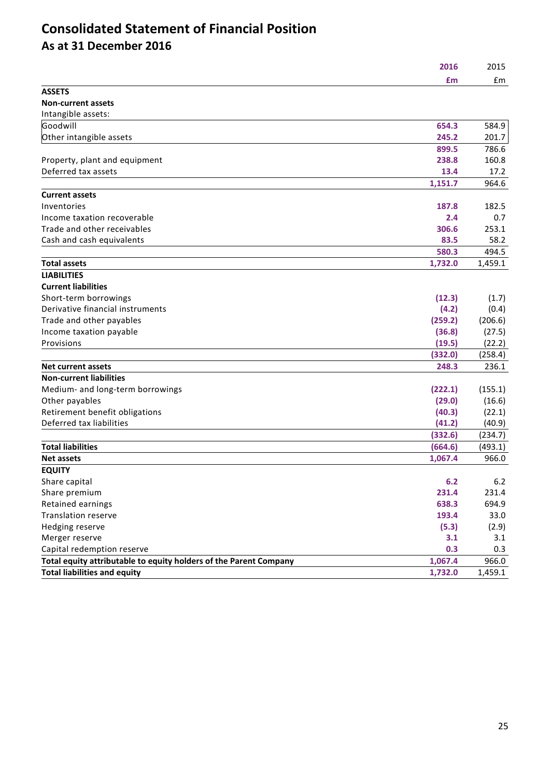# **Consolidated Statement of Financial Position As at 31 December 2016**

| -- 77 |
|-------|
|       |

| <b>ASSETS</b>                                                     |         |         |
|-------------------------------------------------------------------|---------|---------|
| <b>Non-current assets</b>                                         |         |         |
| Intangible assets:                                                |         |         |
| Goodwill                                                          | 654.3   | 584.9   |
| Other intangible assets                                           | 245.2   | 201.7   |
|                                                                   | 899.5   | 786.6   |
| Property, plant and equipment                                     | 238.8   | 160.8   |
| Deferred tax assets                                               | 13.4    | 17.2    |
|                                                                   | 1,151.7 | 964.6   |
| <b>Current assets</b>                                             |         |         |
| Inventories                                                       | 187.8   | 182.5   |
| Income taxation recoverable                                       | 2.4     | 0.7     |
| Trade and other receivables                                       | 306.6   | 253.1   |
| Cash and cash equivalents                                         | 83.5    | 58.2    |
|                                                                   | 580.3   | 494.5   |
| <b>Total assets</b>                                               | 1,732.0 | 1,459.1 |
| <b>LIABILITIES</b>                                                |         |         |
| <b>Current liabilities</b>                                        |         |         |
| Short-term borrowings                                             | (12.3)  | (1.7)   |
| Derivative financial instruments                                  | (4.2)   | (0.4)   |
| Trade and other payables                                          | (259.2) | (206.6) |
| Income taxation payable                                           | (36.8)  | (27.5)  |
| Provisions                                                        | (19.5)  | (22.2)  |
|                                                                   | (332.0) | (258.4) |
| <b>Net current assets</b>                                         | 248.3   | 236.1   |
| <b>Non-current liabilities</b>                                    |         |         |
| Medium- and long-term borrowings                                  | (222.1) | (155.1) |
| Other payables                                                    | (29.0)  | (16.6)  |
| Retirement benefit obligations                                    | (40.3)  | (22.1)  |
| Deferred tax liabilities                                          | (41.2)  | (40.9)  |
|                                                                   | (332.6) | (234.7) |
| <b>Total liabilities</b>                                          | (664.6) | (493.1) |
| <b>Net assets</b>                                                 | 1,067.4 | 966.0   |
| <b>EQUITY</b>                                                     |         |         |
| Share capital                                                     | 6.2     | 6.2     |
| Share premium                                                     | 231.4   | 231.4   |
| Retained earnings                                                 | 638.3   | 694.9   |
| <b>Translation reserve</b>                                        | 193.4   | 33.0    |
| Hedging reserve                                                   | (5.3)   | (2.9)   |
| Merger reserve                                                    | 3.1     | 3.1     |
| Capital redemption reserve                                        | 0.3     | 0.3     |
| Total equity attributable to equity holders of the Parent Company | 1,067.4 | 966.0   |
| <b>Total liabilities and equity</b>                               | 1,732.0 | 1,459.1 |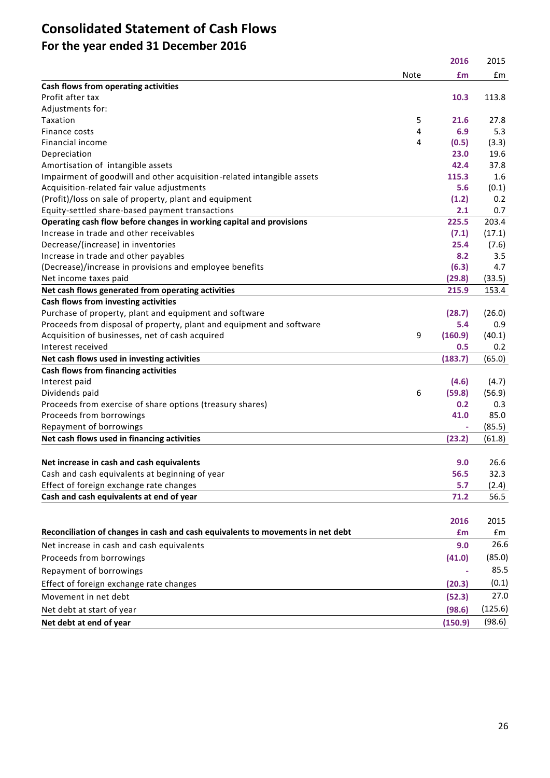# **Consolidated Statement of Cash Flows For the year ended 31 December 2016**

|                                                                                 |      | 2016    | 2015    |
|---------------------------------------------------------------------------------|------|---------|---------|
|                                                                                 | Note | £m      | £m      |
| Cash flows from operating activities                                            |      |         |         |
| Profit after tax                                                                |      | 10.3    | 113.8   |
| Adjustments for:                                                                |      |         |         |
| Taxation                                                                        | 5    | 21.6    | 27.8    |
| Finance costs                                                                   | 4    | 6.9     | 5.3     |
| Financial income                                                                | 4    | (0.5)   | (3.3)   |
| Depreciation                                                                    |      | 23.0    | 19.6    |
| Amortisation of intangible assets                                               |      | 42.4    | 37.8    |
| Impairment of goodwill and other acquisition-related intangible assets          |      | 115.3   | 1.6     |
| Acquisition-related fair value adjustments                                      |      | 5.6     | (0.1)   |
| (Profit)/loss on sale of property, plant and equipment                          |      | (1.2)   | 0.2     |
| Equity-settled share-based payment transactions                                 |      | 2.1     | 0.7     |
| Operating cash flow before changes in working capital and provisions            |      | 225.5   | 203.4   |
| Increase in trade and other receivables                                         |      | (7.1)   | (17.1)  |
| Decrease/(increase) in inventories                                              |      | 25.4    | (7.6)   |
| Increase in trade and other payables                                            |      | 8.2     | 3.5     |
| (Decrease)/increase in provisions and employee benefits                         |      | (6.3)   | 4.7     |
| Net income taxes paid                                                           |      | (29.8)  | (33.5)  |
| Net cash flows generated from operating activities                              |      | 215.9   | 153.4   |
| Cash flows from investing activities                                            |      |         |         |
| Purchase of property, plant and equipment and software                          |      | (28.7)  | (26.0)  |
| Proceeds from disposal of property, plant and equipment and software            |      | 5.4     | 0.9     |
| Acquisition of businesses, net of cash acquired                                 | 9    | (160.9) | (40.1)  |
| Interest received                                                               |      | 0.5     | 0.2     |
| Net cash flows used in investing activities                                     |      | (183.7) | (65.0)  |
| Cash flows from financing activities                                            |      |         |         |
| Interest paid                                                                   |      | (4.6)   | (4.7)   |
| Dividends paid                                                                  | 6    | (59.8)  | (56.9)  |
| Proceeds from exercise of share options (treasury shares)                       |      | 0.2     | 0.3     |
| Proceeds from borrowings                                                        |      | 41.0    | 85.0    |
| Repayment of borrowings                                                         |      |         | (85.5)  |
| Net cash flows used in financing activities                                     |      | (23.2)  | (61.8)  |
|                                                                                 |      |         |         |
| Net increase in cash and cash equivalents                                       |      | 9.0     | 26.6    |
| Cash and cash equivalents at beginning of year                                  |      | 56.5    | 32.3    |
| Effect of foreign exchange rate changes                                         |      | 5.7     | (2.4)   |
| Cash and cash equivalents at end of year                                        |      | 71.2    | 56.5    |
|                                                                                 |      |         |         |
|                                                                                 |      | 2016    | 2015    |
| Reconciliation of changes in cash and cash equivalents to movements in net debt |      | £m      | £m      |
| Net increase in cash and cash equivalents                                       |      | 9.0     | 26.6    |
| Proceeds from borrowings                                                        |      | (41.0)  | (85.0)  |
| Repayment of borrowings                                                         |      |         | 85.5    |
| Effect of foreign exchange rate changes                                         |      | (20.3)  | (0.1)   |
|                                                                                 |      |         |         |
| Movement in net debt                                                            |      | (52.3)  | 27.0    |
| Net debt at start of year                                                       |      | (98.6)  | (125.6) |
| Net debt at end of year                                                         |      | (150.9) | (98.6)  |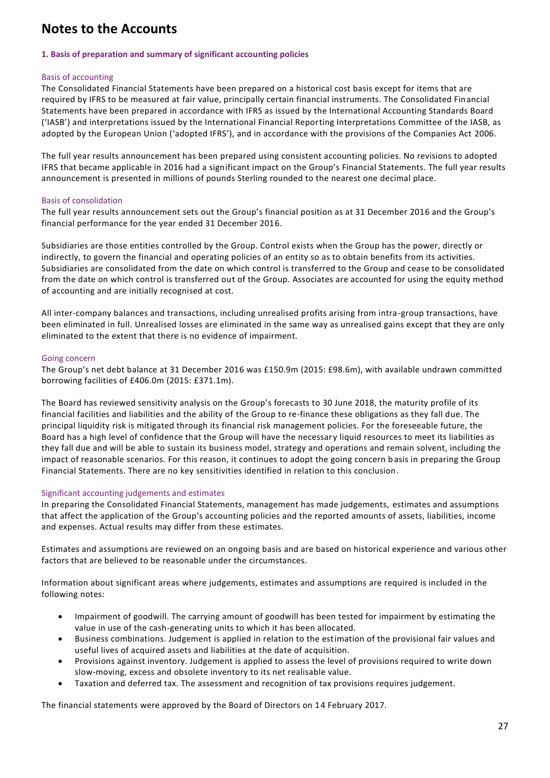# **Notes to the Accounts**

#### **1. Basis of preparation and summary of significant accounting policies**

#### Basis of accounting

The Consolidated Financial Statements have been prepared on a historical cost basis except for items that are required by IFRS to be measured at fair value, principally certain financial instruments. The Consolidated Financial Statements have been prepared in accordance with IFRS as issued by the International Accounting Standards Board ('IASB') and interpretations issued by the International Financial Reporting Interpretations Committee of the IASB, as adopted by the European Union ('adopted IFRS'), and in accordance with the provisions of the Companies Act 2006.

The full year results announcement has been prepared using consistent accounting policies. No revisions to adopted IFRS that became applicable in 2016 had a significant impact on the Group's Financial Statements. The full year results announcement is presented in millions of pounds Sterling rounded to the nearest one decimal place.

#### Basis of consolidation

The full year results announcement sets out the Group's financial position as at 31 December 2016 and the Group's financial performance for the year ended 31 December 2016.

Subsidiaries are those entities controlled by the Group. Control exists when the Group has the power, directly or indirectly, to govern the financial and operating policies of an entity so as to obtain benefits from its activities. Subsidiaries are consolidated from the date on which control is transferred to the Group and cease to be consolidated from the date on which control is transferred out of the Group. Associates are accounted for using the equity method of accounting and are initially recognised at cost.

All inter-company balances and transactions, including unrealised profits arising from intra-group transactions, have been eliminated in full. Unrealised losses are eliminated in the same way as unrealised gains except that they are only eliminated to the extent that there is no evidence of impairment.

#### Going concern

The Group's net debt balance at 31 December 2016 was £150.9m (2015: £98.6m), with available undrawn committed borrowing facilities of £406.0m (2015: £371.1m).

The Board has reviewed sensitivity analysis on the Group's forecasts to 30 June 2018, the maturity profile of its financial facilities and liabilities and the ability of the Group to re-finance these obligations as they fall due. The principal liquidity risk is mitigated through its financial risk management policies. For the foreseeable future, the Board has a high level of confidence that the Group will have the necessary liquid resources to meet its liabilities as they fall due and will be able to sustain its business model, strategy and operations and remain solvent, including the impact of reasonable scenarios. For this reason, it continues to adopt the going concern b asis in preparing the Group Financial Statements. There are no key sensitivities identified in relation to this conclusion.

# Significant accounting judgements and estimates

In preparing the Consolidated Financial Statements, management has made judgements, estimates and assumptions that affect the application of the Group's accounting policies and the reported amounts of assets, liabilities, income and expenses. Actual results may differ from these estimates.

Estimates and assumptions are reviewed on an ongoing basis and are based on historical experience and various other factors that are believed to be reasonable under the circumstances.

Information about significant areas where judgements, estimates and assumptions are required is included in the following notes:

- Impairment of goodwill. The carrying amount of goodwill has been tested for impairment by estimating the value in use of the cash-generating units to which it has been allocated.
- Business combinations. Judgement is applied in relation to the estimation of the provisional fair values and useful lives of acquired assets and liabilities at the date of acquisition.
- Provisions against inventory. Judgement is applied to assess the level of provisions required to write down slow-moving, excess and obsolete inventory to its net realisable value.
- Taxation and deferred tax. The assessment and recognition of tax provisions requires judgement.

The financial statements were approved by the Board of Directors on 14 February 2017.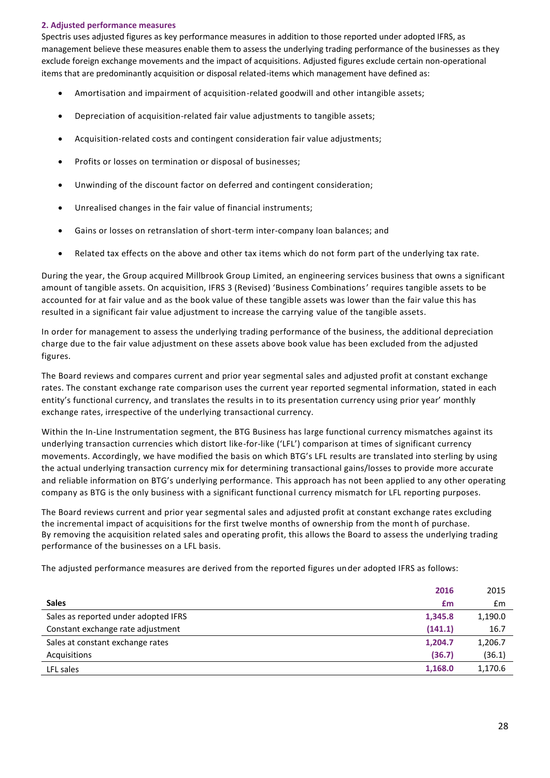#### **2. Adjusted performance measures**

Spectris uses adjusted figures as key performance measures in addition to those reported under adopted IFRS, as management believe these measures enable them to assess the underlying trading performance of the businesses as they exclude foreign exchange movements and the impact of acquisitions. Adjusted figures exclude certain non-operational items that are predominantly acquisition or disposal related-items which management have defined as:

- Amortisation and impairment of acquisition-related goodwill and other intangible assets;
- Depreciation of acquisition-related fair value adjustments to tangible assets;
- Acquisition-related costs and contingent consideration fair value adjustments;
- Profits or losses on termination or disposal of businesses;
- Unwinding of the discount factor on deferred and contingent consideration;
- Unrealised changes in the fair value of financial instruments;
- Gains or losses on retranslation of short-term inter-company loan balances; and
- Related tax effects on the above and other tax items which do not form part of the underlying tax rate.

During the year, the Group acquired Millbrook Group Limited, an engineering services business that owns a significant amount of tangible assets. On acquisition, IFRS 3 (Revised) 'Business Combinations' requires tangible assets to be accounted for at fair value and as the book value of these tangible assets was lower than the fair value this has resulted in a significant fair value adjustment to increase the carrying value of the tangible assets.

In order for management to assess the underlying trading performance of the business, the additional depreciation charge due to the fair value adjustment on these assets above book value has been excluded from the adjusted figures.

The Board reviews and compares current and prior year segmental sales and adjusted profit at constant exchange rates. The constant exchange rate comparison uses the current year reported segmental information, stated in each entity's functional currency, and translates the results in to its presentation currency using prior year' monthly exchange rates, irrespective of the underlying transactional currency.

Within the In-Line Instrumentation segment, the BTG Business has large functional currency mismatches against its underlying transaction currencies which distort like-for-like ('LFL') comparison at times of significant currency movements. Accordingly, we have modified the basis on which BTG's LFL results are translated into sterling by using the actual underlying transaction currency mix for determining transactional gains/losses to provide more accurate and reliable information on BTG's underlying performance. This approach has not been applied to any other operating company as BTG is the only business with a significant functional currency mismatch for LFL reporting purposes.

The Board reviews current and prior year segmental sales and adjusted profit at constant exchange rates excluding the incremental impact of acquisitions for the first twelve months of ownership from the mont h of purchase. By removing the acquisition related sales and operating profit, this allows the Board to assess the underlying trading performance of the businesses on a LFL basis.

The adjusted performance measures are derived from the reported figures under adopted IFRS as follows:

| 2016                                            | 2015    |
|-------------------------------------------------|---------|
| <b>Sales</b><br>£m                              | £m      |
| Sales as reported under adopted IFRS<br>1,345.8 | 1,190.0 |
| (141.1)<br>Constant exchange rate adjustment    | 16.7    |
| Sales at constant exchange rates<br>1,204.7     | 1,206.7 |
| (36.7)<br>Acquisitions                          | (36.1)  |
| 1,168.0<br>LFL sales                            | 1,170.6 |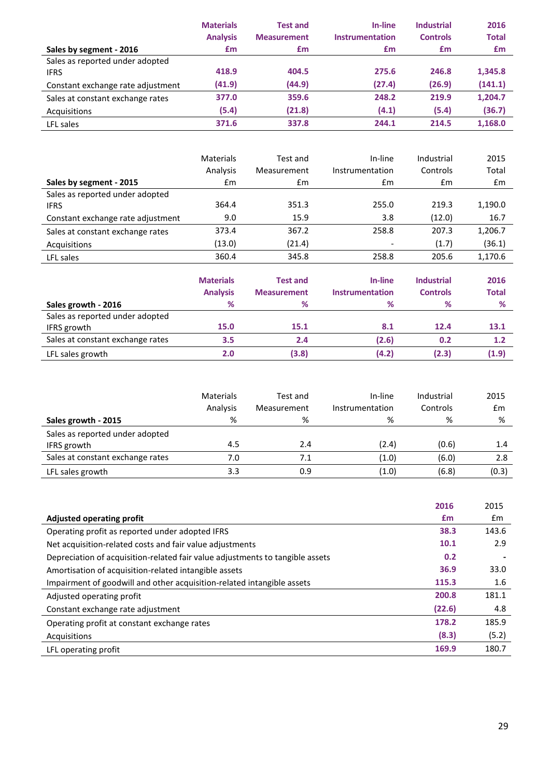|                                   | <b>Materials</b> | <b>Test and</b>    | In-line         | <b>Industrial</b> | 2016         |
|-----------------------------------|------------------|--------------------|-----------------|-------------------|--------------|
|                                   | <b>Analysis</b>  | <b>Measurement</b> | Instrumentation | <b>Controls</b>   | <b>Total</b> |
| Sales by segment - 2016           | £m               | £m                 | £m              | £m                | £m           |
| Sales as reported under adopted   |                  |                    |                 |                   |              |
| <b>IFRS</b>                       | 418.9            | 404.5              | 275.6           | 246.8             | 1,345.8      |
| Constant exchange rate adjustment | (41.9)           | (44.9)             | (27.4)          | (26.9)            | (141.1)      |
| Sales at constant exchange rates  | 377.0            | 359.6              | 248.2           | 219.9             | 1,204.7      |
| Acquisitions                      | (5.4)            | (21.8)             | (4.1)           | (5.4)             | (36.7)       |
| LFL sales                         | 371.6            | 337.8              | 244.1           | 214.5             | 1,168.0      |

|                                   | <b>Materials</b> | Test and           | In-line                | Industrial        | 2015    |
|-----------------------------------|------------------|--------------------|------------------------|-------------------|---------|
|                                   | Analysis         | Measurement        | Instrumentation        | Controls          | Total   |
| Sales by segment - 2015           | $\mathsf{fm}$    | £m                 | $\mathsf{fm}$          | £m                | £m      |
| Sales as reported under adopted   |                  |                    |                        |                   |         |
| <b>IFRS</b>                       | 364.4            | 351.3              | 255.0                  | 219.3             | 1,190.0 |
| Constant exchange rate adjustment | 9.0              | 15.9               | 3.8                    | (12.0)            | 16.7    |
| Sales at constant exchange rates  | 373.4            | 367.2              | 258.8                  | 207.3             | 1,206.7 |
| Acquisitions                      | (13.0)           | (21.4)             |                        | (1.7)             | (36.1)  |
| LFL sales                         | 360.4            | 345.8              | 258.8                  | 205.6             | 1,170.6 |
|                                   |                  |                    |                        |                   |         |
|                                   | <b>Materials</b> | <b>Test and</b>    | In-line                | <b>Industrial</b> | 2016    |
|                                   | <b>Analysis</b>  | <b>Measurement</b> | <b>Instrumentation</b> | <b>Controls</b>   | Total   |
| Sales growth - 2016               | ℅                | ℅                  | ℅                      | %                 | %       |
| Sales as reported under adopted   |                  |                    |                        |                   |         |
| <b>IFRS</b> growth                | 15.0             | 15.1               | 8.1                    | 12.4              | 13.1    |
| Sales at constant exchange rates  | 3.5              | 2.4                | (2.6)                  | 0.2               | 1.2     |
| LFL sales growth                  | 2.0              | (3.8)              | (4.2)                  | (2.3)             | (1.9)   |

|                                  | Materials<br>Analysis | Test and<br>Measurement | In-line<br>Instrumentation | Industrial<br>Controls | 2015<br>£m |
|----------------------------------|-----------------------|-------------------------|----------------------------|------------------------|------------|
| Sales growth - 2015              | %                     | %                       | %                          | %                      | %          |
| Sales as reported under adopted  |                       |                         |                            |                        |            |
| IFRS growth                      | 4.5                   | 2.4                     | (2.4)                      | (0.6)                  | 1.4        |
| Sales at constant exchange rates | 7.0                   | 7.1                     | (1.0)                      | (6.0)                  | 2.8        |
| LFL sales growth                 | 3.3                   | 0.9                     | (1.0)                      | (6.8)                  | (0.3)      |

|                                                                               | 2016   | 2015  |
|-------------------------------------------------------------------------------|--------|-------|
| <b>Adjusted operating profit</b>                                              | £m     | £m    |
| Operating profit as reported under adopted IFRS                               | 38.3   | 143.6 |
| Net acquisition-related costs and fair value adjustments                      | 10.1   | 2.9   |
| Depreciation of acquisition-related fair value adjustments to tangible assets | 0.2    |       |
| Amortisation of acquisition-related intangible assets                         | 36.9   | 33.0  |
| Impairment of goodwill and other acquisition-related intangible assets        | 115.3  | 1.6   |
| Adjusted operating profit                                                     | 200.8  | 181.1 |
| Constant exchange rate adjustment                                             | (22.6) | 4.8   |
| Operating profit at constant exchange rates                                   | 178.2  | 185.9 |
| Acquisitions                                                                  | (8.3)  | (5.2) |
| LFL operating profit                                                          | 169.9  | 180.7 |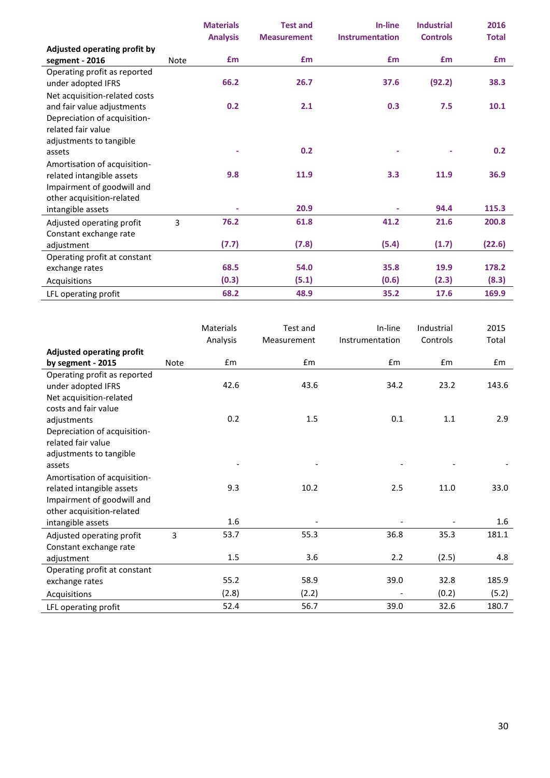|                               |             | <b>Materials</b> | <b>Test and</b>    | In-line                | <b>Industrial</b> | 2016         |
|-------------------------------|-------------|------------------|--------------------|------------------------|-------------------|--------------|
|                               |             | <b>Analysis</b>  | <b>Measurement</b> | <b>Instrumentation</b> | <b>Controls</b>   | <b>Total</b> |
| Adjusted operating profit by  |             |                  |                    |                        |                   |              |
| segment - 2016                | <b>Note</b> | £m               | £m                 | £m                     | <b>f</b> m        | Em           |
| Operating profit as reported  |             |                  |                    |                        |                   |              |
| under adopted IFRS            |             | 66.2             | 26.7               | 37.6                   | (92.2)            | 38.3         |
| Net acquisition-related costs |             |                  |                    |                        |                   |              |
| and fair value adjustments    |             | 0.2              | 2.1                | 0.3                    | 7.5               | 10.1         |
| Depreciation of acquisition-  |             |                  |                    |                        |                   |              |
| related fair value            |             |                  |                    |                        |                   |              |
| adjustments to tangible       |             |                  |                    |                        |                   |              |
| assets                        |             |                  | 0.2                |                        |                   | 0.2          |
| Amortisation of acquisition-  |             |                  |                    |                        |                   |              |
| related intangible assets     |             | 9.8              | 11.9               | 3.3                    | 11.9              | 36.9         |
| Impairment of goodwill and    |             |                  |                    |                        |                   |              |
| other acquisition-related     |             |                  |                    |                        |                   |              |
| intangible assets             |             |                  | 20.9               | ٠                      | 94.4              | 115.3        |
| Adjusted operating profit     | 3           | 76.2             | 61.8               | 41.2                   | 21.6              | 200.8        |
| Constant exchange rate        |             |                  |                    |                        |                   |              |
| adjustment                    |             | (7.7)            | (7.8)              | (5.4)                  | (1.7)             | (22.6)       |
| Operating profit at constant  |             |                  |                    |                        |                   |              |
| exchange rates                |             | 68.5             | 54.0               | 35.8                   | 19.9              | 178.2        |
| Acquisitions                  |             | (0.3)            | (5.1)              | (0.6)                  | (2.3)             | (8.3)        |
| LFL operating profit          |             | 68.2             | 48.9               | 35.2                   | 17.6              | 169.9        |

|                                  |             | <b>Materials</b> | Test and    | In-line         | Industrial | 2015  |
|----------------------------------|-------------|------------------|-------------|-----------------|------------|-------|
|                                  |             | Analysis         | Measurement | Instrumentation | Controls   | Total |
| <b>Adjusted operating profit</b> |             |                  |             |                 |            |       |
| by segment - 2015                | <b>Note</b> | Em               | £m          | Em              | Em         | Em    |
| Operating profit as reported     |             |                  |             |                 |            |       |
| under adopted IFRS               |             | 42.6             | 43.6        | 34.2            | 23.2       | 143.6 |
| Net acquisition-related          |             |                  |             |                 |            |       |
| costs and fair value             |             |                  |             |                 |            |       |
| adjustments                      |             | 0.2              | 1.5         | 0.1             | 1.1        | 2.9   |
| Depreciation of acquisition-     |             |                  |             |                 |            |       |
| related fair value               |             |                  |             |                 |            |       |
| adjustments to tangible          |             |                  |             |                 |            |       |
| assets                           |             |                  |             |                 |            |       |
| Amortisation of acquisition-     |             |                  |             |                 |            |       |
| related intangible assets        |             | 9.3              | 10.2        | 2.5             | 11.0       | 33.0  |
| Impairment of goodwill and       |             |                  |             |                 |            |       |
| other acquisition-related        |             |                  |             |                 |            |       |
| intangible assets                |             | 1.6              |             |                 |            | 1.6   |
| Adjusted operating profit        | 3           | 53.7             | 55.3        | 36.8            | 35.3       | 181.1 |
| Constant exchange rate           |             |                  |             |                 |            |       |
| adjustment                       |             | 1.5              | 3.6         | 2.2             | (2.5)      | 4.8   |
| Operating profit at constant     |             |                  |             |                 |            |       |
| exchange rates                   |             | 55.2             | 58.9        | 39.0            | 32.8       | 185.9 |
| Acquisitions                     |             | (2.8)            | (2.2)       |                 | (0.2)      | (5.2) |
| LFL operating profit             |             | 52.4             | 56.7        | 39.0            | 32.6       | 180.7 |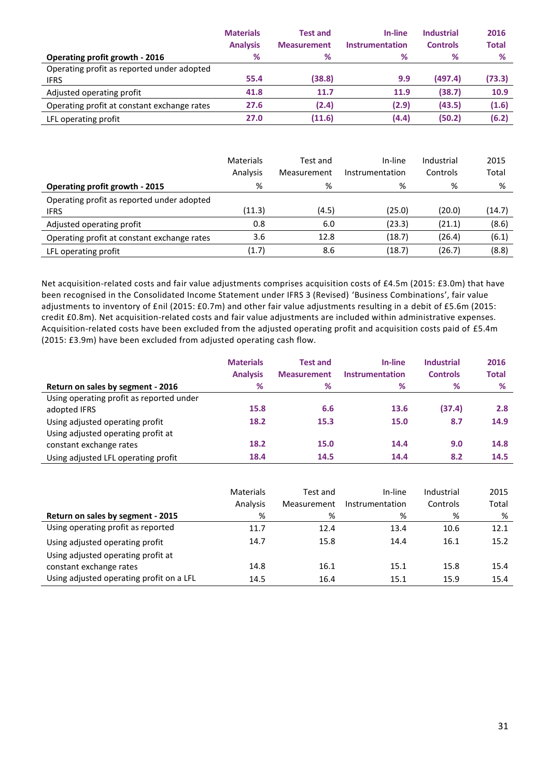|                                             | <b>Materials</b> | <b>Test and</b>    | In-line         | <b>Industrial</b> | 2016         |
|---------------------------------------------|------------------|--------------------|-----------------|-------------------|--------------|
|                                             | <b>Analysis</b>  | <b>Measurement</b> | Instrumentation | <b>Controls</b>   | <b>Total</b> |
| Operating profit growth - 2016              | %                | %                  | %               | %                 | %            |
| Operating profit as reported under adopted  |                  |                    |                 |                   |              |
| <b>IFRS</b>                                 | 55.4             | (38.8)             | 9.9             | (497.4)           | (73.3)       |
| Adjusted operating profit                   | 41.8             | 11.7               | 11.9            | (38.7)            | 10.9         |
| Operating profit at constant exchange rates | 27.6             | (2.4)              | (2.9)           | (43.5)            | (1.6)        |
| LFL operating profit                        | 27.0             | (11.6)             | (4.4)           | (50.2)            | (6.2)        |

|                                                           | Materials<br>Analysis | Test and<br>Measurement | In-line<br>Instrumentation | Industrial<br>Controls | 2015<br>Total |
|-----------------------------------------------------------|-----------------------|-------------------------|----------------------------|------------------------|---------------|
| <b>Operating profit growth - 2015</b>                     | %                     | %                       | %                          | %                      | %             |
| Operating profit as reported under adopted<br><b>IFRS</b> | (11.3)                | (4.5)                   | (25.0)                     | (20.0)                 | (14.7)        |
| Adjusted operating profit                                 | 0.8                   | 6.0                     | (23.3)                     | (21.1)                 | (8.6)         |
| Operating profit at constant exchange rates               | 3.6                   | 12.8                    | (18.7)                     | (26.4)                 | (6.1)         |
| LFL operating profit                                      | (1.7)                 | 8.6                     | (18.7)                     | (26.7)                 | (8.8)         |

Net acquisition-related costs and fair value adjustments comprises acquisition costs of £4.5m (2015: £3.0m) that have been recognised in the Consolidated Income Statement under IFRS 3 (Revised) 'Business Combinations', fair value adjustments to inventory of £nil (2015: £0.7m) and other fair value adjustments resulting in a debit of £5.6m (2015: credit £0.8m). Net acquisition-related costs and fair value adjustments are included within administrative expenses. Acquisition-related costs have been excluded from the adjusted operating profit and acquisition costs paid of £5.4m (2015: £3.9m) have been excluded from adjusted operating cash flow.

|                                                                       | <b>Materials</b><br><b>Analysis</b> | <b>Test and</b><br><b>Measurement</b> | In-line<br><b>Instrumentation</b> | <b>Industrial</b><br><b>Controls</b> | 2016<br><b>Total</b> |
|-----------------------------------------------------------------------|-------------------------------------|---------------------------------------|-----------------------------------|--------------------------------------|----------------------|
| Return on sales by segment - 2016                                     | %                                   | %                                     | %                                 | %                                    | %                    |
| Using operating profit as reported under<br>adopted IFRS              | 15.8                                | 6.6                                   | 13.6                              | (37.4)                               | 2.8                  |
| Using adjusted operating profit<br>Using adjusted operating profit at | 18.2                                | 15.3                                  | 15.0                              | 8.7                                  | 14.9                 |
| constant exchange rates                                               | 18.2                                | 15.0                                  | 14.4                              | 9.0                                  | 14.8                 |
| Using adjusted LFL operating profit                                   | 18.4                                | 14.5                                  | 14.4                              | 8.2                                  | 14.5                 |

|                                          | Materials<br>Analysis | Test and<br>Measurement | In-line<br>Instrumentation | Industrial<br>Controls | 2015<br>Total |
|------------------------------------------|-----------------------|-------------------------|----------------------------|------------------------|---------------|
| Return on sales by segment - 2015        | %                     | %                       | %                          | %                      | %             |
| Using operating profit as reported       | 11.7                  | 12.4                    | 13.4                       | 10.6                   | 12.1          |
| Using adjusted operating profit          | 14.7                  | 15.8                    | 14.4                       | 16.1                   | 15.2          |
| Using adjusted operating profit at       |                       |                         |                            |                        |               |
| constant exchange rates                  | 14.8                  | 16.1                    | 15.1                       | 15.8                   | 15.4          |
| Using adjusted operating profit on a LFL | 14.5                  | 16.4                    | 15.1                       | 15.9                   | 15.4          |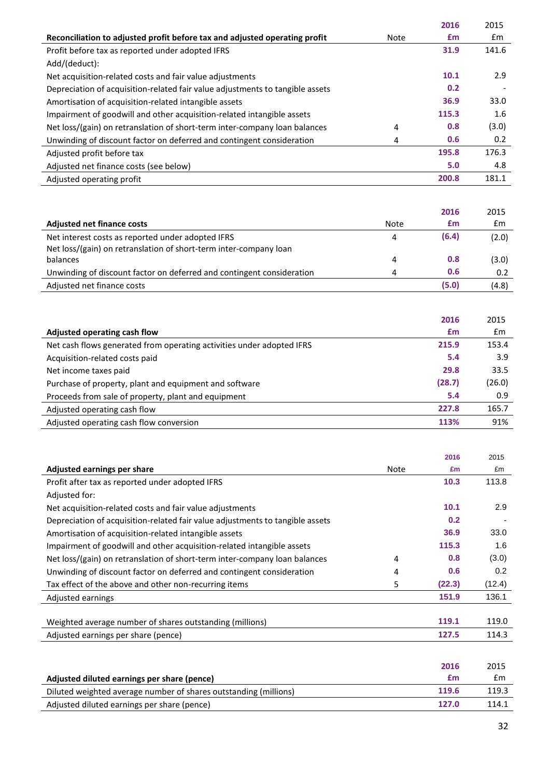|                                                                               |             | 2016  | 2015  |
|-------------------------------------------------------------------------------|-------------|-------|-------|
| Reconciliation to adjusted profit before tax and adjusted operating profit    | <b>Note</b> | £m    | £m    |
| Profit before tax as reported under adopted IFRS                              |             | 31.9  | 141.6 |
| Add/(deduct):                                                                 |             |       |       |
| Net acquisition-related costs and fair value adjustments                      |             | 10.1  | 2.9   |
| Depreciation of acquisition-related fair value adjustments to tangible assets |             | 0.2   |       |
| Amortisation of acquisition-related intangible assets                         |             | 36.9  | 33.0  |
| Impairment of goodwill and other acquisition-related intangible assets        |             | 115.3 | 1.6   |
| Net loss/(gain) on retranslation of short-term inter-company loan balances    | 4           | 0.8   | (3.0) |
| Unwinding of discount factor on deferred and contingent consideration         | 4           | 0.6   | 0.2   |
| Adjusted profit before tax                                                    |             | 195.8 | 176.3 |
| Adjusted net finance costs (see below)                                        |             | 5.0   | 4.8   |
| Adjusted operating profit                                                     |             | 200.8 | 181.1 |
|                                                                               |             |       |       |

|                                                                                                                        |      | 2016  | 2015  |
|------------------------------------------------------------------------------------------------------------------------|------|-------|-------|
| <b>Adjusted net finance costs</b>                                                                                      | Note | £m    | £m    |
| Net interest costs as reported under adopted IFRS<br>Net loss/(gain) on retranslation of short-term inter-company loan | 4    | (6.4) | (2.0) |
| balances                                                                                                               | 4    | 0.8   | (3.0) |
| Unwinding of discount factor on deferred and contingent consideration                                                  | 4    | 0.6   | 0.2   |
| Adjusted net finance costs                                                                                             |      | (5.0) | (4.8) |

|                                                                       | 2016   | 2015   |
|-----------------------------------------------------------------------|--------|--------|
| Adjusted operating cash flow                                          | £m     | £m     |
| Net cash flows generated from operating activities under adopted IFRS | 215.9  | 153.4  |
| Acquisition-related costs paid                                        | 5.4    | 3.9    |
| Net income taxes paid                                                 | 29.8   | 33.5   |
| Purchase of property, plant and equipment and software                | (28.7) | (26.0) |
| Proceeds from sale of property, plant and equipment                   | 5.4    | 0.9    |
| Adjusted operating cash flow                                          | 227.8  | 165.7  |
| Adjusted operating cash flow conversion                               | 113%   | 91%    |
|                                                                       |        |        |

|                                                                               |      | 2016   | 2015   |
|-------------------------------------------------------------------------------|------|--------|--------|
| Adjusted earnings per share                                                   | Note | £m     | £m     |
| Profit after tax as reported under adopted IFRS                               |      | 10.3   | 113.8  |
| Adjusted for:                                                                 |      |        |        |
| Net acquisition-related costs and fair value adjustments                      |      | 10.1   | 2.9    |
| Depreciation of acquisition-related fair value adjustments to tangible assets |      | 0.2    |        |
| Amortisation of acquisition-related intangible assets                         |      | 36.9   | 33.0   |
| Impairment of goodwill and other acquisition-related intangible assets        |      | 115.3  | 1.6    |
| Net loss/(gain) on retranslation of short-term inter-company loan balances    | 4    | 0.8    | (3.0)  |
| Unwinding of discount factor on deferred and contingent consideration         | 4    | 0.6    | 0.2    |
| Tax effect of the above and other non-recurring items                         | 5    | (22.3) | (12.4) |
| Adjusted earnings                                                             |      | 151.9  | 136.1  |
|                                                                               |      |        |        |
| Weighted average number of shares outstanding (millions)                      |      | 119.1  | 119.0  |
| Adjusted earnings per share (pence)                                           |      | 127.5  | 114.3  |

|                                                                  | 2016  | 2015  |
|------------------------------------------------------------------|-------|-------|
| Adjusted diluted earnings per share (pence)                      | £m    | £m    |
| Diluted weighted average number of shares outstanding (millions) | 119.6 | 119.3 |
| Adjusted diluted earnings per share (pence)                      | 127.0 | 114.1 |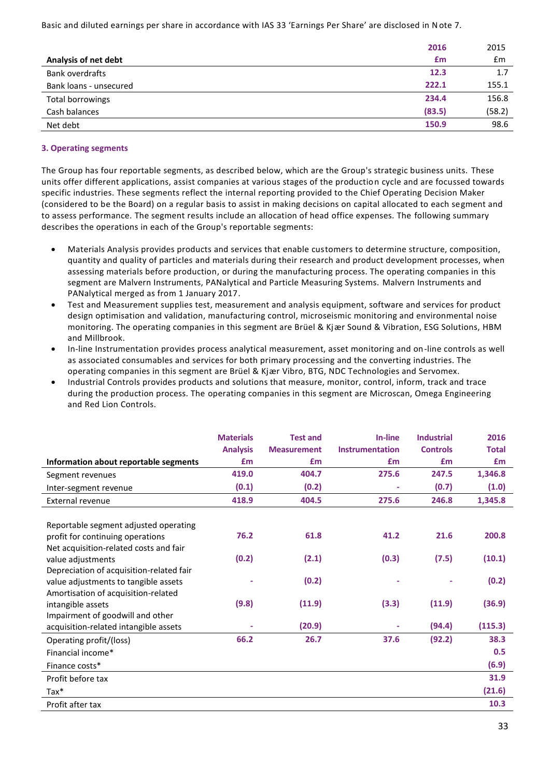Basic and diluted earnings per share in accordance with IAS 33 'Earnings Per Share' are disclosed in Note 7.

| 2015                                                    |
|---------------------------------------------------------|
| Em                                                      |
| 1.7                                                     |
| 155.1                                                   |
| 156.8                                                   |
| (58.2)                                                  |
| 98.6                                                    |
| 2016<br>£m<br>12.3<br>222.1<br>234.4<br>(83.5)<br>150.9 |

#### **3. Operating segments**

The Group has four reportable segments, as described below, which are the Group's strategic business units. These units offer different applications, assist companies at various stages of the production cycle and are focussed towards specific industries. These segments reflect the internal reporting provided to the Chief Operating Decision Maker (considered to be the Board) on a regular basis to assist in making decisions on capital allocated to each segment and to assess performance. The segment results include an allocation of head office expenses. The following summary describes the operations in each of the Group's reportable segments:

- Materials Analysis provides products and services that enable customers to determine structure, composition, quantity and quality of particles and materials during their research and product development processes, when assessing materials before production, or during the manufacturing process. The operating companies in this segment are Malvern Instruments, PANalytical and Particle Measuring Systems. Malvern Instruments and PANalytical merged as from 1 January 2017.
- Test and Measurement supplies test, measurement and analysis equipment, software and services for product design optimisation and validation, manufacturing control, microseismic monitoring and environmental noise monitoring. The operating companies in this segment are Brüel & Kjær Sound & Vibration, ESG Solutions, HBM and Millbrook.
- In-line Instrumentation provides process analytical measurement, asset monitoring and on-line controls as well as associated consumables and services for both primary processing and the converting industries. The operating companies in this segment are Brüel & Kjær Vibro, BTG, NDC Technologies and Servomex.
- Industrial Controls provides products and solutions that measure, monitor, control, inform, track and trace during the production process. The operating companies in this segment are Microscan, Omega Engineering and Red Lion Controls.

|                                          | <b>Materials</b> | <b>Test and</b>    | In-line                | <b>Industrial</b> | 2016         |
|------------------------------------------|------------------|--------------------|------------------------|-------------------|--------------|
|                                          | <b>Analysis</b>  | <b>Measurement</b> | <b>Instrumentation</b> | <b>Controls</b>   | <b>Total</b> |
| Information about reportable segments    | £m               | £m                 | £m                     | £m                | £m           |
| Segment revenues                         | 419.0            | 404.7              | 275.6                  | 247.5             | 1,346.8      |
| Inter-segment revenue                    | (0.1)            | (0.2)              | ٠                      | (0.7)             | (1.0)        |
| External revenue                         | 418.9            | 404.5              | 275.6                  | 246.8             | 1,345.8      |
|                                          |                  |                    |                        |                   |              |
| Reportable segment adjusted operating    |                  |                    |                        |                   |              |
| profit for continuing operations         | 76.2             | 61.8               | 41.2                   | 21.6              | 200.8        |
| Net acquisition-related costs and fair   |                  |                    |                        |                   |              |
| value adjustments                        | (0.2)            | (2.1)              | (0.3)                  | (7.5)             | (10.1)       |
| Depreciation of acquisition-related fair |                  |                    |                        |                   |              |
| value adjustments to tangible assets     |                  | (0.2)              |                        |                   | (0.2)        |
| Amortisation of acquisition-related      |                  |                    |                        |                   |              |
| intangible assets                        | (9.8)            | (11.9)             | (3.3)                  | (11.9)            | (36.9)       |
| Impairment of goodwill and other         |                  |                    |                        |                   |              |
| acquisition-related intangible assets    |                  | (20.9)             |                        | (94.4)            | (115.3)      |
| Operating profit/(loss)                  | 66.2             | 26.7               | 37.6                   | (92.2)            | 38.3         |
| Financial income*                        |                  |                    |                        |                   | 0.5          |
| Finance costs*                           |                  |                    |                        |                   | (6.9)        |
| Profit before tax                        |                  |                    |                        |                   | 31.9         |
| $Tax*$                                   |                  |                    |                        |                   | (21.6)       |
| Profit after tax                         |                  |                    |                        |                   | 10.3         |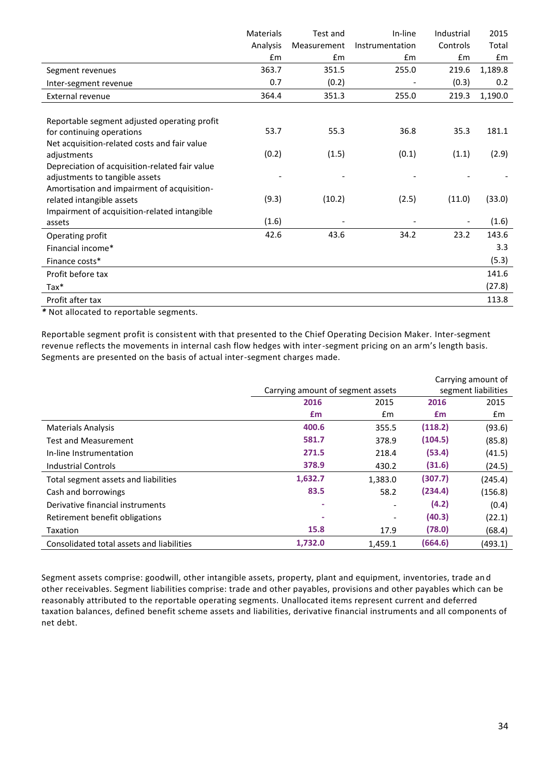|                                                | <b>Materials</b> | Test and    | In-line         | Industrial | 2015    |
|------------------------------------------------|------------------|-------------|-----------------|------------|---------|
|                                                | Analysis         | Measurement | Instrumentation | Controls   | Total   |
|                                                | £m               | £m          | Em              | £m         | Em      |
| Segment revenues                               | 363.7            | 351.5       | 255.0           | 219.6      | 1,189.8 |
| Inter-segment revenue                          | 0.7              | (0.2)       |                 | (0.3)      | 0.2     |
| <b>External revenue</b>                        | 364.4            | 351.3       | 255.0           | 219.3      | 1,190.0 |
|                                                |                  |             |                 |            |         |
| Reportable segment adjusted operating profit   |                  |             |                 |            |         |
| for continuing operations                      | 53.7             | 55.3        | 36.8            | 35.3       | 181.1   |
| Net acquisition-related costs and fair value   |                  |             |                 |            |         |
| adjustments                                    | (0.2)            | (1.5)       | (0.1)           | (1.1)      | (2.9)   |
| Depreciation of acquisition-related fair value |                  |             |                 |            |         |
| adjustments to tangible assets                 |                  |             |                 |            |         |
| Amortisation and impairment of acquisition-    |                  |             |                 |            |         |
| related intangible assets                      | (9.3)            | (10.2)      | (2.5)           | (11.0)     | (33.0)  |
| Impairment of acquisition-related intangible   |                  |             |                 |            |         |
| assets                                         | (1.6)            |             |                 |            | (1.6)   |
| Operating profit                               | 42.6             | 43.6        | 34.2            | 23.2       | 143.6   |
| Financial income*                              |                  |             |                 |            | 3.3     |
| Finance costs*                                 |                  |             |                 |            | (5.3)   |
| Profit before tax                              |                  |             |                 |            | 141.6   |
| $\text{Tax*}$                                  |                  |             |                 |            | (27.8)  |
| Profit after tax                               |                  |             |                 |            | 113.8   |

*\** Not allocated to reportable segments.

Reportable segment profit is consistent with that presented to the Chief Operating Decision Maker. Inter-segment revenue reflects the movements in internal cash flow hedges with inter-segment pricing on an arm's length basis. Segments are presented on the basis of actual inter-segment charges made.

|                                           |                                   |                              |         | Carrying amount of  |
|-------------------------------------------|-----------------------------------|------------------------------|---------|---------------------|
|                                           | Carrying amount of segment assets |                              |         | segment liabilities |
|                                           | 2016                              | 2015                         | 2016    | 2015                |
|                                           | £m                                | $\mathsf{fm}$                | £m      | £m                  |
| <b>Materials Analysis</b>                 | 400.6                             | 355.5                        | (118.2) | (93.6)              |
| <b>Test and Measurement</b>               | 581.7                             | 378.9                        | (104.5) | (85.8)              |
| In-line Instrumentation                   | 271.5                             | 218.4                        | (53.4)  | (41.5)              |
| <b>Industrial Controls</b>                | 378.9                             | 430.2                        | (31.6)  | (24.5)              |
| Total segment assets and liabilities      | 1,632.7                           | 1,383.0                      | (307.7) | (245.4)             |
| Cash and borrowings                       | 83.5                              | 58.2                         | (234.4) | (156.8)             |
| Derivative financial instruments          |                                   |                              | (4.2)   | (0.4)               |
| Retirement benefit obligations            |                                   | $\qquad \qquad \blacksquare$ | (40.3)  | (22.1)              |
| Taxation                                  | 15.8                              | 17.9                         | (78.0)  | (68.4)              |
| Consolidated total assets and liabilities | 1,732.0                           | 1,459.1                      | (664.6) | (493.1)             |

Segment assets comprise: goodwill, other intangible assets, property, plant and equipment, inventories, trade an d other receivables. Segment liabilities comprise: trade and other payables, provisions and other payables which can be reasonably attributed to the reportable operating segments. Unallocated items represent current and deferred taxation balances, defined benefit scheme assets and liabilities, derivative financial instruments and all components of net debt.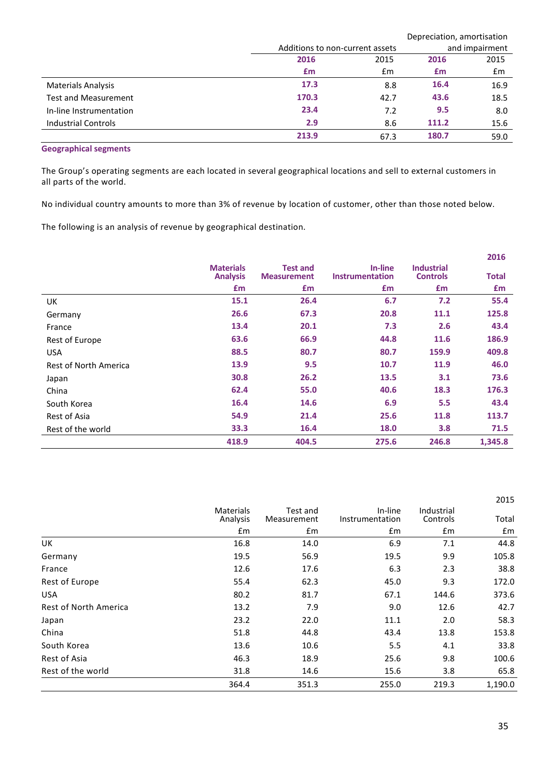|                             |                                 |      |       | Depreciation, amortisation |
|-----------------------------|---------------------------------|------|-------|----------------------------|
|                             | Additions to non-current assets |      |       | and impairment             |
|                             | 2016                            | 2015 | 2016  | 2015                       |
|                             | £m                              | £m   | £m    | £m                         |
| <b>Materials Analysis</b>   | 17.3                            | 8.8  | 16.4  | 16.9                       |
| <b>Test and Measurement</b> | 170.3                           | 42.7 | 43.6  | 18.5                       |
| In-line Instrumentation     | 23.4                            | 7.2  | 9.5   | 8.0                        |
| <b>Industrial Controls</b>  | 2.9                             | 8.6  | 111.2 | 15.6                       |
|                             | 213.9                           | 67.3 | 180.7 | 59.0                       |

### **Geographical segments**

The Group's operating segments are each located in several geographical locations and sell to external customers in all parts of the world.

No individual country amounts to more than 3% of revenue by location of customer, other than those noted below.

The following is an analysis of revenue by geographical destination.

|                       |                                     |                                       |                            |                                      | 2016         |
|-----------------------|-------------------------------------|---------------------------------------|----------------------------|--------------------------------------|--------------|
|                       | <b>Materials</b><br><b>Analysis</b> | <b>Test and</b><br><b>Measurement</b> | In-line<br>Instrumentation | <b>Industrial</b><br><b>Controls</b> | <b>Total</b> |
|                       | £m                                  | £m                                    | £m                         | £m                                   | £m           |
| UK                    | 15.1                                | 26.4                                  | 6.7                        | 7.2                                  | 55.4         |
| Germany               | 26.6                                | 67.3                                  | 20.8                       | 11.1                                 | 125.8        |
| France                | 13.4                                | 20.1                                  | 7.3                        | 2.6                                  | 43.4         |
| Rest of Europe        | 63.6                                | 66.9                                  | 44.8                       | 11.6                                 | 186.9        |
| <b>USA</b>            | 88.5                                | 80.7                                  | 80.7                       | 159.9                                | 409.8        |
| Rest of North America | 13.9                                | 9.5                                   | 10.7                       | 11.9                                 | 46.0         |
| Japan                 | 30.8                                | 26.2                                  | 13.5                       | 3.1                                  | 73.6         |
| China                 | 62.4                                | 55.0                                  | 40.6                       | 18.3                                 | 176.3        |
| South Korea           | 16.4                                | 14.6                                  | 6.9                        | 5.5                                  | 43.4         |
| Rest of Asia          | 54.9                                | 21.4                                  | 25.6                       | 11.8                                 | 113.7        |
| Rest of the world     | 33.3                                | 16.4                                  | 18.0                       | 3.8                                  | 71.5         |
|                       | 418.9                               | 404.5                                 | 275.6                      | 246.8                                | 1,345.8      |

|                       |                              |                         |                            |                        | 2015    |
|-----------------------|------------------------------|-------------------------|----------------------------|------------------------|---------|
|                       | <b>Materials</b><br>Analysis | Test and<br>Measurement | In-line<br>Instrumentation | Industrial<br>Controls | Total   |
|                       | £m                           | £m                      | £m                         | £m                     | £m      |
| UK                    | 16.8                         | 14.0                    | 6.9                        | 7.1                    | 44.8    |
| Germany               | 19.5                         | 56.9                    | 19.5                       | 9.9                    | 105.8   |
| France                | 12.6                         | 17.6                    | 6.3                        | 2.3                    | 38.8    |
| Rest of Europe        | 55.4                         | 62.3                    | 45.0                       | 9.3                    | 172.0   |
| <b>USA</b>            | 80.2                         | 81.7                    | 67.1                       | 144.6                  | 373.6   |
| Rest of North America | 13.2                         | 7.9                     | 9.0                        | 12.6                   | 42.7    |
| Japan                 | 23.2                         | 22.0                    | 11.1                       | 2.0                    | 58.3    |
| China                 | 51.8                         | 44.8                    | 43.4                       | 13.8                   | 153.8   |
| South Korea           | 13.6                         | 10.6                    | 5.5                        | 4.1                    | 33.8    |
| Rest of Asia          | 46.3                         | 18.9                    | 25.6                       | 9.8                    | 100.6   |
| Rest of the world     | 31.8                         | 14.6                    | 15.6                       | 3.8                    | 65.8    |
|                       | 364.4                        | 351.3                   | 255.0                      | 219.3                  | 1,190.0 |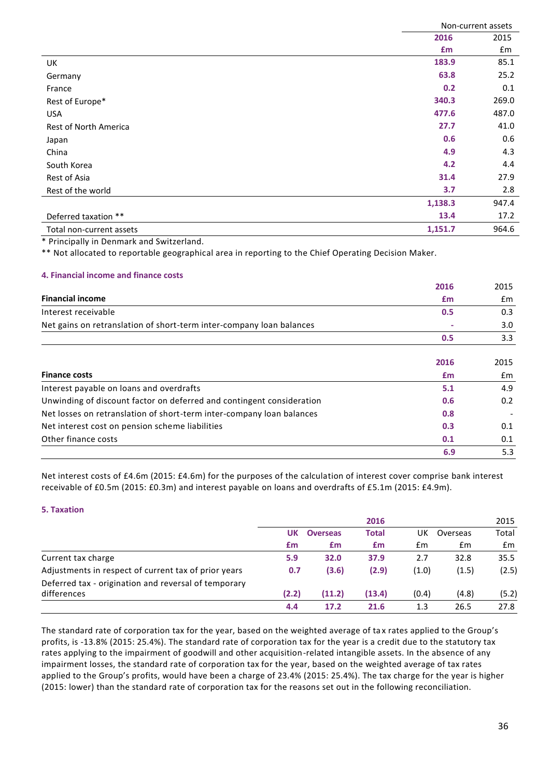|                          | Non-current assets |       |  |
|--------------------------|--------------------|-------|--|
|                          | 2016               | 2015  |  |
|                          | £m                 | £m    |  |
| UK                       | 183.9              | 85.1  |  |
| Germany                  | 63.8               | 25.2  |  |
| France                   | 0.2                | 0.1   |  |
| Rest of Europe*          | 340.3              | 269.0 |  |
| <b>USA</b>               | 477.6              | 487.0 |  |
| Rest of North America    | 27.7               | 41.0  |  |
| Japan                    | 0.6                | 0.6   |  |
| China                    | 4.9                | 4.3   |  |
| South Korea              | 4.2                | 4.4   |  |
| Rest of Asia             | 31.4               | 27.9  |  |
| Rest of the world        | 3.7                | 2.8   |  |
|                          | 1,138.3            | 947.4 |  |
| Deferred taxation **     | 13.4               | 17.2  |  |
| Total non-current assets | 1,151.7            | 964.6 |  |

\* Principally in Denmark and Switzerland.

\*\* Not allocated to reportable geographical area in reporting to the Chief Operating Decision Maker.

#### **4. Financial income and finance costs**

|                                                                       | 2016 | 2015 |
|-----------------------------------------------------------------------|------|------|
| <b>Financial income</b>                                               | £m   | £m   |
| Interest receivable                                                   | 0.5  | 0.3  |
| Net gains on retranslation of short-term inter-company loan balances  |      | 3.0  |
|                                                                       | 0.5  | 3.3  |
|                                                                       | 2016 | 2015 |
| <b>Finance costs</b>                                                  | £m   | Em   |
| Interest payable on loans and overdrafts                              | 5.1  | 4.9  |
| Unwinding of discount factor on deferred and contingent consideration | 0.6  | 0.2  |
| Net losses on retranslation of short-term inter-company loan balances | 0.8  |      |
| Net interest cost on pension scheme liabilities                       | 0.3  | 0.1  |
| Other finance costs                                                   | 0.1  | 0.1  |
|                                                                       | 6.9  | 5.3  |

Net interest costs of £4.6m (2015: £4.6m) for the purposes of the calculation of interest cover comprise bank interest receivable of £0.5m (2015: £0.3m) and interest payable on loans and overdrafts of £5.1m (2015: £4.9m).

#### **5. Taxation**

|                                                                     |       |                 | 2016         |       |          | 2015  |
|---------------------------------------------------------------------|-------|-----------------|--------------|-------|----------|-------|
|                                                                     | UK    | <b>Overseas</b> | <b>Total</b> | UK    | Overseas | Total |
|                                                                     | £m    | £m              | £m           | £m    | £m       | Em    |
| Current tax charge                                                  | 5.9   | 32.0            | 37.9         | 2.7   | 32.8     | 35.5  |
| Adjustments in respect of current tax of prior years                | 0.7   | (3.6)           | (2.9)        | (1.0) | (1.5)    | (2.5) |
| Deferred tax - origination and reversal of temporary<br>differences | (2.2) | (11.2)          | (13.4)       | (0.4) | (4.8)    | (5.2) |
|                                                                     | 4.4   | 17.2            | 21.6         | 1.3   | 26.5     | 27.8  |

The standard rate of corporation tax for the year, based on the weighted average of tax rates applied to the Group's profits, is -13.8% (2015: 25.4%). The standard rate of corporation tax for the year is a credit due to the statutory tax rates applying to the impairment of goodwill and other acquisition-related intangible assets. In the absence of any impairment losses, the standard rate of corporation tax for the year, based on the weighted average of tax rates applied to the Group's profits, would have been a charge of 23.4% (2015: 25.4%). The tax charge for the year is higher (2015: lower) than the standard rate of corporation tax for the reasons set out in the following reconciliation.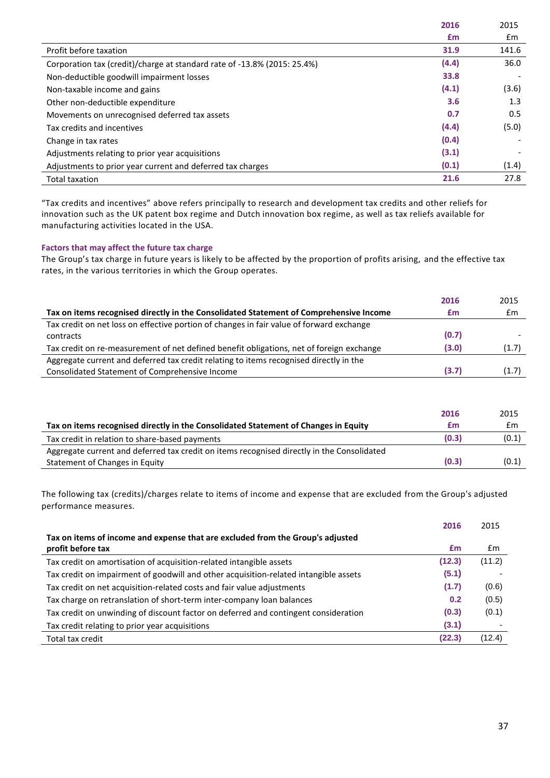|                                                                          | 2016  | 2015          |
|--------------------------------------------------------------------------|-------|---------------|
|                                                                          | £m    | $\mathsf{fm}$ |
| Profit before taxation                                                   | 31.9  | 141.6         |
| Corporation tax (credit)/charge at standard rate of -13.8% (2015: 25.4%) | (4.4) | 36.0          |
| Non-deductible goodwill impairment losses                                | 33.8  |               |
| Non-taxable income and gains                                             | (4.1) | (3.6)         |
| Other non-deductible expenditure                                         | 3.6   | 1.3           |
| Movements on unrecognised deferred tax assets                            | 0.7   | $0.5^{\circ}$ |
| Tax credits and incentives                                               | (4.4) | (5.0)         |
| Change in tax rates                                                      | (0.4) |               |
| Adjustments relating to prior year acquisitions                          | (3.1) |               |
| Adjustments to prior year current and deferred tax charges               | (0.1) | (1.4)         |
| <b>Total taxation</b>                                                    | 21.6  | 27.8          |

"Tax credits and incentives" above refers principally to research and development tax credits and other reliefs for innovation such as the UK patent box regime and Dutch innovation box regime, as well as tax reliefs available for manufacturing activities located in the USA.

# **Factors that may affect the future tax charge**

The Group's tax charge in future years is likely to be affected by the proportion of profits arising, and the effective tax rates, in the various territories in which the Group operates.

|                                                                                          | 2016  | 2015  |
|------------------------------------------------------------------------------------------|-------|-------|
| Tax on items recognised directly in the Consolidated Statement of Comprehensive Income   | £m    | £m    |
| Tax credit on net loss on effective portion of changes in fair value of forward exchange |       |       |
| contracts                                                                                | (0.7) |       |
| Tax credit on re-measurement of net defined benefit obligations, net of foreign exchange | (3.0) | (1.7) |
| Aggregate current and deferred tax credit relating to items recognised directly in the   |       |       |
| Consolidated Statement of Comprehensive Income                                           | (3.7) | (1.7) |

|                                                                                            | 2016  | 2015  |
|--------------------------------------------------------------------------------------------|-------|-------|
| Tax on items recognised directly in the Consolidated Statement of Changes in Equity        | £m    | Em    |
| Tax credit in relation to share-based payments                                             | (0.3) | (0.1) |
| Aggregate current and deferred tax credit on items recognised directly in the Consolidated |       |       |
| Statement of Changes in Equity                                                             | (0.3) | (0.1) |

The following tax (credits)/charges relate to items of income and expense that are excluded from the Group's adjusted performance measures.

|                                                                                      | 2016   | 2015   |
|--------------------------------------------------------------------------------------|--------|--------|
| Tax on items of income and expense that are excluded from the Group's adjusted       |        |        |
| profit before tax                                                                    | £m     | £m     |
| Tax credit on amortisation of acquisition-related intangible assets                  | (12.3) | (11.2) |
| Tax credit on impairment of goodwill and other acquisition-related intangible assets | (5.1)  |        |
| Tax credit on net acquisition-related costs and fair value adjustments               | (1.7)  | (0.6)  |
| Tax charge on retranslation of short-term inter-company loan balances                | 0.2    | (0.5)  |
| Tax credit on unwinding of discount factor on deferred and contingent consideration  | (0.3)  | (0.1)  |
| Tax credit relating to prior year acquisitions                                       | (3.1)  |        |
| Total tax credit                                                                     | (22.3) | (12.4) |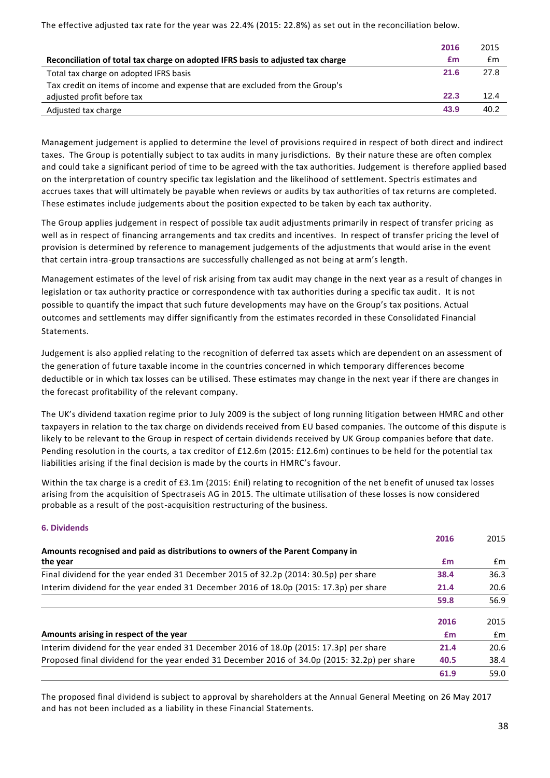The effective adjusted tax rate for the year was 22.4% (2015: 22.8%) as set out in the reconciliation below.

|                                                                                 | 2016 | 2015 |
|---------------------------------------------------------------------------------|------|------|
| Reconciliation of total tax charge on adopted IFRS basis to adjusted tax charge | £m   | £m   |
| Total tax charge on adopted IFRS basis                                          | 21.6 | 27.8 |
| Tax credit on items of income and expense that are excluded from the Group's    |      |      |
| adjusted profit before tax                                                      | 22.3 | 12.4 |
| Adjusted tax charge                                                             | 43.9 | 40.2 |

Management judgement is applied to determine the level of provisions required in respect of both direct and indirect taxes. The Group is potentially subject to tax audits in many jurisdictions. By their nature these are often complex and could take a significant period of time to be agreed with the tax authorities. Judgement is therefore applied based on the interpretation of country specific tax legislation and the likelihood of settlement. Spectris estimates and accrues taxes that will ultimately be payable when reviews or audits by tax authorities of tax returns are completed. These estimates include judgements about the position expected to be taken by each tax authority.

The Group applies judgement in respect of possible tax audit adjustments primarily in respect of transfer pricing as well as in respect of financing arrangements and tax credits and incentives. In respect of transfer pricing the level of provision is determined by reference to management judgements of the adjustments that would arise in the event that certain intra-group transactions are successfully challenged as not being at arm's length.

Management estimates of the level of risk arising from tax audit may change in the next year as a result of changes in legislation or tax authority practice or correspondence with tax authorities during a specific tax audit. It is not possible to quantify the impact that such future developments may have on the Group's tax positions. Actual outcomes and settlements may differ significantly from the estimates recorded in these Consolidated Financial Statements.

Judgement is also applied relating to the recognition of deferred tax assets which are dependent on an assessment of the generation of future taxable income in the countries concerned in which temporary differences become deductible or in which tax losses can be utilised. These estimates may change in the next year if there are changes in the forecast profitability of the relevant company.

The UK's dividend taxation regime prior to July 2009 is the subject of long running litigation between HMRC and other taxpayers in relation to the tax charge on dividends received from EU based companies. The outcome of this dispute is likely to be relevant to the Group in respect of certain dividends received by UK Group companies before that date. Pending resolution in the courts, a tax creditor of £12.6m (2015: £12.6m) continues to be held for the potential tax liabilities arising if the final decision is made by the courts in HMRC's favour.

Within the tax charge is a credit of £3.1m (2015: £nil) relating to recognition of the net benefit of unused tax losses arising from the acquisition of Spectraseis AG in 2015. The ultimate utilisation of these losses is now considered probable as a result of the post-acquisition restructuring of the business.

# **6. Dividends**

|                                                                                              | 2016 | 2015          |
|----------------------------------------------------------------------------------------------|------|---------------|
| Amounts recognised and paid as distributions to owners of the Parent Company in              |      |               |
| the year                                                                                     | £m   | £m            |
| Final dividend for the year ended 31 December 2015 of 32.2p (2014: 30.5p) per share          | 38.4 | 36.3          |
| Interim dividend for the year ended 31 December 2016 of 18.0p (2015: 17.3p) per share        | 21.4 | 20.6          |
|                                                                                              | 59.8 | 56.9          |
|                                                                                              | 2016 | 2015          |
|                                                                                              |      |               |
| Amounts arising in respect of the year                                                       | £m   | $\mathsf{fm}$ |
| Interim dividend for the year ended 31 December 2016 of 18.0p (2015: 17.3p) per share        | 21.4 | 20.6          |
| Proposed final dividend for the year ended 31 December 2016 of 34.0p (2015: 32.2p) per share | 40.5 | 38.4          |
|                                                                                              | 61.9 | 59.0          |

The proposed final dividend is subject to approval by shareholders at the Annual General Meeting on 26 May 2017 and has not been included as a liability in these Financial Statements.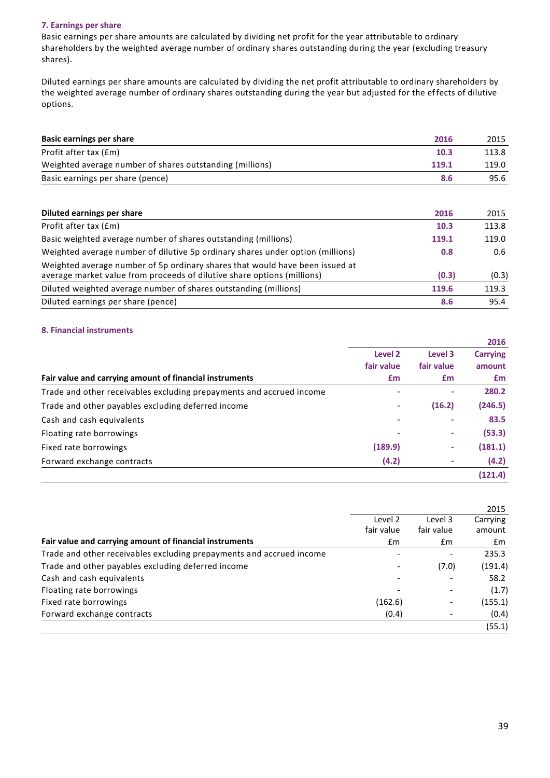#### **7. Earnings per share**

Basic earnings per share amounts are calculated by dividing net profit for the year attributable to ordinary shareholders by the weighted average number of ordinary shares outstanding during the year (excluding treasury shares).

Diluted earnings per share amounts are calculated by dividing the net profit attributable to ordinary shareholders by the weighted average number of ordinary shares outstanding during the year but adjusted for the effects of dilutive options.

| Basic earnings per share                                 | 2016  | 2015  |
|----------------------------------------------------------|-------|-------|
| Profit after tax (£m)                                    | 10.3  | 113.8 |
| Weighted average number of shares outstanding (millions) | 119.1 | 119.0 |
| Basic earnings per share (pence)                         | 8.6   | 95.6  |
|                                                          |       |       |

| Diluted earnings per share                                                                                                                              | 2016  | 2015  |
|---------------------------------------------------------------------------------------------------------------------------------------------------------|-------|-------|
| Profit after tax (£m)                                                                                                                                   | 10.3  | 113.8 |
| Basic weighted average number of shares outstanding (millions)                                                                                          | 119.1 | 119.0 |
| Weighted average number of dilutive 5p ordinary shares under option (millions)                                                                          | 0.8   | 0.6   |
| Weighted average number of 5p ordinary shares that would have been issued at<br>average market value from proceeds of dilutive share options (millions) | (0.3) | (0.3) |
| Diluted weighted average number of shares outstanding (millions)                                                                                        | 119.6 | 119.3 |
| Diluted earnings per share (pence)                                                                                                                      | 8.6   | 95.4  |

### **8. Financial instruments**

|                                                                      |                    |            | 2016            |
|----------------------------------------------------------------------|--------------------|------------|-----------------|
|                                                                      | Level <sub>2</sub> | Level 3    | <b>Carrying</b> |
|                                                                      | fair value         | fair value | amount          |
| Fair value and carrying amount of financial instruments              | £m                 | <b>f</b> m | £m              |
| Trade and other receivables excluding prepayments and accrued income |                    |            | 280.2           |
| Trade and other payables excluding deferred income                   | ٠                  | (16.2)     | (246.5)         |
| Cash and cash equivalents                                            | ۰                  |            | 83.5            |
| Floating rate borrowings                                             | ۰                  |            | (53.3)          |
| Fixed rate borrowings                                                | (189.9)            | ۰.         | (181.1)         |
| Forward exchange contracts                                           | (4.2)              |            | (4.2)           |
|                                                                      |                    |            | (121.4)         |

|                                                                      |                       |                             | 2015         |
|----------------------------------------------------------------------|-----------------------|-----------------------------|--------------|
|                                                                      | Level 2<br>fair value | Level 3                     | Carrying     |
| Fair value and carrying amount of financial instruments              | £m                    | fair value<br>$\mathsf{fm}$ | amount<br>£m |
|                                                                      |                       |                             |              |
| Trade and other receivables excluding prepayments and accrued income |                       |                             | 235.3        |
| Trade and other payables excluding deferred income                   |                       | (7.0)                       | (191.4)      |
| Cash and cash equivalents                                            |                       |                             | 58.2         |
| Floating rate borrowings                                             |                       |                             | (1.7)        |
| Fixed rate borrowings                                                | (162.6)               |                             | (155.1)      |
| Forward exchange contracts                                           | (0.4)                 |                             | (0.4)        |
|                                                                      |                       |                             | (55.1)       |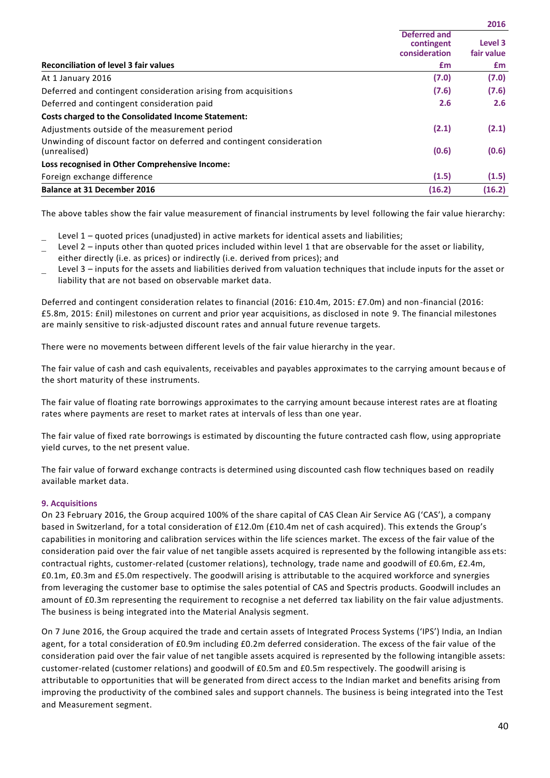|                                                                                       |                                                    | 2016                  |
|---------------------------------------------------------------------------------------|----------------------------------------------------|-----------------------|
|                                                                                       | <b>Deferred and</b><br>contingent<br>consideration | Level 3<br>fair value |
| <b>Reconciliation of level 3 fair values</b>                                          | £m                                                 | £m                    |
| At 1 January 2016                                                                     | (7.0)                                              | (7.0)                 |
| Deferred and contingent consideration arising from acquisitions                       | (7.6)                                              | (7.6)                 |
| Deferred and contingent consideration paid                                            | 2.6                                                | 2.6                   |
| Costs charged to the Consolidated Income Statement:                                   |                                                    |                       |
| Adjustments outside of the measurement period                                         | (2.1)                                              | (2.1)                 |
| Unwinding of discount factor on deferred and contingent consideration<br>(unrealised) | (0.6)                                              | (0.6)                 |
| Loss recognised in Other Comprehensive Income:                                        |                                                    |                       |
| Foreign exchange difference                                                           | (1.5)                                              | (1.5)                 |
| <b>Balance at 31 December 2016</b>                                                    | (16.2)                                             | (16.2)                |

The above tables show the fair value measurement of financial instruments by level following the fair value hierarchy:

- Level 1 quoted prices (unadjusted) in active markets for identical assets and liabilities;
- Level 2 inputs other than quoted prices included within level 1 that are observable for the asset or liability,
- either directly (i.e. as prices) or indirectly (i.e. derived from prices); and
- Level 3 inputs for the assets and liabilities derived from valuation techniques that include inputs for the asset or liability that are not based on observable market data.

Deferred and contingent consideration relates to financial (2016: £10.4m, 2015: £7.0m) and non-financial (2016: £5.8m, 2015: £nil) milestones on current and prior year acquisitions, as disclosed in note 9. The financial milestones are mainly sensitive to risk-adjusted discount rates and annual future revenue targets.

There were no movements between different levels of the fair value hierarchy in the year.

The fair value of cash and cash equivalents, receivables and payables approximates to the carrying amount becaus e of the short maturity of these instruments.

The fair value of floating rate borrowings approximates to the carrying amount because interest rates are at floating rates where payments are reset to market rates at intervals of less than one year.

The fair value of fixed rate borrowings is estimated by discounting the future contracted cash flow, using appropriate yield curves, to the net present value.

The fair value of forward exchange contracts is determined using discounted cash flow techniques based on readily available market data.

# **9. Acquisitions**

On 23 February 2016, the Group acquired 100% of the share capital of CAS Clean Air Service AG ('CAS'), a company based in Switzerland, for a total consideration of £12.0m (£10.4m net of cash acquired). This ex tends the Group's capabilities in monitoring and calibration services within the life sciences market. The excess of the fair value of the consideration paid over the fair value of net tangible assets acquired is represented by the following intangible ass ets: contractual rights, customer-related (customer relations), technology, trade name and goodwill of £0.6m, £2.4m, £0.1m, £0.3m and £5.0m respectively. The goodwill arising is attributable to the acquired workforce and synergies from leveraging the customer base to optimise the sales potential of CAS and Spectris products. Goodwill includes an amount of £0.3m representing the requirement to recognise a net deferred tax liability on the fair value adjustments. The business is being integrated into the Material Analysis segment.

On 7 June 2016, the Group acquired the trade and certain assets of Integrated Process Systems ('IPS') India, an Indian agent, for a total consideration of £0.9m including £0.2m deferred consideration. The excess of the fair value of the consideration paid over the fair value of net tangible assets acquired is represented by the following intangible assets: customer-related (customer relations) and goodwill of £0.5m and £0.5m respectively. The goodwill arising is attributable to opportunities that will be generated from direct access to the Indian market and benefits arising from improving the productivity of the combined sales and support channels. The business is being integrated into the Test and Measurement segment.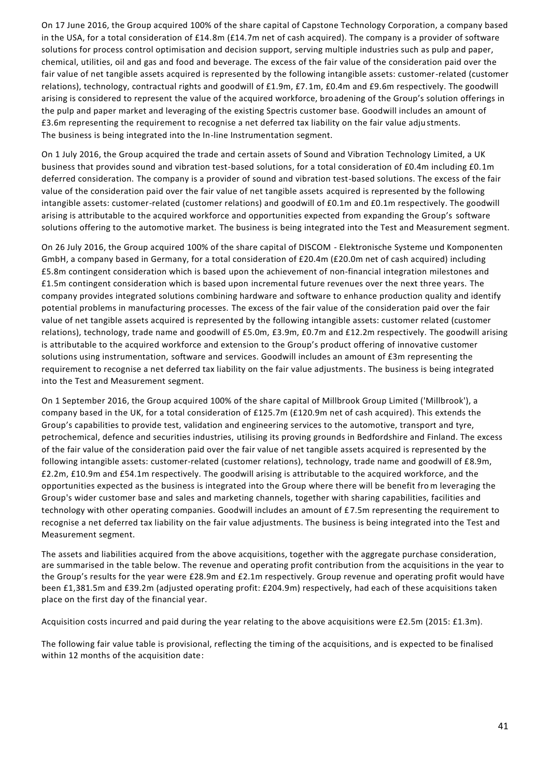On 17 June 2016, the Group acquired 100% of the share capital of Capstone Technology Corporation, a company based in the USA, for a total consideration of £14.8m (£14.7m net of cash acquired). The company is a provider of software solutions for process control optimisation and decision support, serving multiple industries such as pulp and paper, chemical, utilities, oil and gas and food and beverage. The excess of the fair value of the consideration paid over the fair value of net tangible assets acquired is represented by the following intangible assets: customer-related (customer relations), technology, contractual rights and goodwill of £1.9m, £7.1m, £0.4m and £9.6m respectively. The goodwill arising is considered to represent the value of the acquired workforce, broadening of the Group's solution offerings in the pulp and paper market and leveraging of the existing Spectris customer base. Goodwill includes an amount of £3.6m representing the requirement to recognise a net deferred tax liability on the fair value adju stments. The business is being integrated into the In-line Instrumentation segment.

On 1 July 2016, the Group acquired the trade and certain assets of Sound and Vibration Technology Limited, a UK business that provides sound and vibration test-based solutions, for a total consideration of £0.4m including £0.1m deferred consideration. The company is a provider of sound and vibration test-based solutions. The excess of the fair value of the consideration paid over the fair value of net tangible assets acquired is represented by the following intangible assets: customer-related (customer relations) and goodwill of £0.1m and £0.1m respectively. The goodwill arising is attributable to the acquired workforce and opportunities expected from expanding the Group's software solutions offering to the automotive market. The business is being integrated into the Test and Measurement segment.

On 26 July 2016, the Group acquired 100% of the share capital of DISCOM - Elektronische Systeme und Komponenten GmbH, a company based in Germany, for a total consideration of £20.4m (£20.0m net of cash acquired) including £5.8m contingent consideration which is based upon the achievement of non-financial integration milestones and £1.5m contingent consideration which is based upon incremental future revenues over the next three years. The company provides integrated solutions combining hardware and software to enhance production quality and identify potential problems in manufacturing processes. The excess of the fair value of the consideration paid over the fair value of net tangible assets acquired is represented by the following intangible assets: customer related (customer relations), technology, trade name and goodwill of £5.0m, £3.9m, £0.7m and £12.2m respectively. The goodwill arising is attributable to the acquired workforce and extension to the Group's product offering of innovative customer solutions using instrumentation, software and services. Goodwill includes an amount of £3m representing the requirement to recognise a net deferred tax liability on the fair value adjustments. The business is being integrated into the Test and Measurement segment.

On 1 September 2016, the Group acquired 100% of the share capital of Millbrook Group Limited ('Millbrook'), a company based in the UK, for a total consideration of £125.7m (£120.9m net of cash acquired). This extends the Group's capabilities to provide test, validation and engineering services to the automotive, transport and tyre, petrochemical, defence and securities industries, utilising its proving grounds in Bedfordshire and Finland. The excess of the fair value of the consideration paid over the fair value of net tangible assets acquired is represented by the following intangible assets: customer-related (customer relations), technology, trade name and goodwill of £8.9m, £2.2m, £10.9m and £54.1m respectively. The goodwill arising is attributable to the acquired workforce, and the opportunities expected as the business is integrated into the Group where there will be benefit from leveraging the Group's wider customer base and sales and marketing channels, together with sharing capabilities, facilities and technology with other operating companies. Goodwill includes an amount of £7.5m representing the requirement to recognise a net deferred tax liability on the fair value adjustments. The business is being integrated into the Test and Measurement segment.

The assets and liabilities acquired from the above acquisitions, together with the aggregate purchase consideration, are summarised in the table below. The revenue and operating profit contribution from the acquisitions in the year to the Group's results for the year were £28.9m and £2.1m respectively. Group revenue and operating profit would have been £1,381.5m and £39.2m (adjusted operating profit: £204.9m) respectively, had each of these acquisitions taken place on the first day of the financial year.

Acquisition costs incurred and paid during the year relating to the above acquisitions were £2.5m (2015: £1.3m).

The following fair value table is provisional, reflecting the timing of the acquisitions, and is expected to be finalised within 12 months of the acquisition date: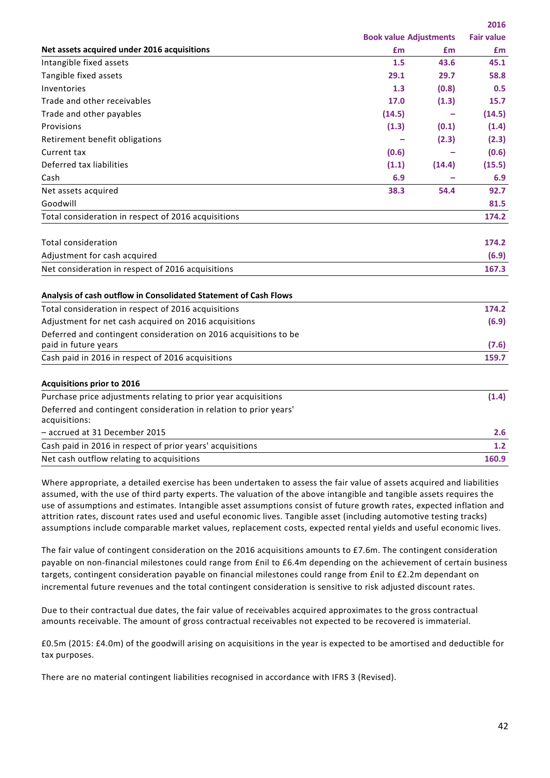|                                                                                    |                               |        | Z016              |
|------------------------------------------------------------------------------------|-------------------------------|--------|-------------------|
|                                                                                    | <b>Book value Adjustments</b> |        | <b>Fair value</b> |
| Net assets acquired under 2016 acquisitions                                        | £m                            | £m     | £m                |
| Intangible fixed assets                                                            | 1.5                           | 43.6   | 45.1              |
| Tangible fixed assets                                                              | 29.1                          | 29.7   | 58.8              |
| Inventories                                                                        | 1.3                           | (0.8)  | 0.5               |
| Trade and other receivables                                                        | 17.0                          | (1.3)  | 15.7              |
| Trade and other payables                                                           | (14.5)                        |        | (14.5)            |
| Provisions                                                                         | (1.3)                         | (0.1)  | (1.4)             |
| Retirement benefit obligations                                                     |                               | (2.3)  | (2.3)             |
| Current tax                                                                        | (0.6)                         |        | (0.6)             |
| Deferred tax liabilities                                                           | (1.1)                         | (14.4) | (15.5)            |
| Cash                                                                               | 6.9                           |        | 6.9               |
| Net assets acquired                                                                | 38.3                          | 54.4   | 92.7              |
| Goodwill                                                                           |                               |        | 81.5              |
| Total consideration in respect of 2016 acquisitions                                |                               |        | 174.2             |
| <b>Total consideration</b>                                                         |                               |        | 174.2             |
| Adjustment for cash acquired                                                       |                               |        | (6.9)             |
| Net consideration in respect of 2016 acquisitions                                  |                               |        | 167.3             |
| Analysis of cash outflow in Consolidated Statement of Cash Flows                   |                               |        |                   |
| Total consideration in respect of 2016 acquisitions                                |                               |        | 174.2             |
| Adjustment for net cash acquired on 2016 acquisitions                              |                               |        | (6.9)             |
| Deferred and contingent consideration on 2016 acquisitions to be                   |                               |        |                   |
| paid in future years                                                               |                               |        | (7.6)             |
| Cash paid in 2016 in respect of 2016 acquisitions                                  |                               |        | 159.7             |
| <b>Acquisitions prior to 2016</b>                                                  |                               |        |                   |
| Purchase price adjustments relating to prior year acquisitions                     |                               |        | (1.4)             |
| Deferred and contingent consideration in relation to prior years'<br>acquisitions: |                               |        |                   |
| - accrued at 31 December 2015                                                      |                               |        | 2.6               |
| Cash paid in 2016 in respect of prior years' acquisitions                          |                               |        | 1.2               |
| Net cash outflow relating to acquisitions                                          |                               |        | 160.9             |
|                                                                                    |                               |        |                   |

Where appropriate, a detailed exercise has been undertaken to assess the fair value of assets acquired and liabilities assumed, with the use of third party experts. The valuation of the above intangible and tangible assets requires the use of assumptions and estimates. Intangible asset assumptions consist of future growth rates, expected inflation and attrition rates, discount rates used and useful economic lives. Tangible asset (including automotive testing tracks) assumptions include comparable market values, replacement costs, expected rental yields and useful economic lives.

The fair value of contingent consideration on the 2016 acquisitions amounts to £7.6m. The contingent consideration payable on non-financial milestones could range from £nil to £6.4m depending on the achievement of certain business targets, contingent consideration payable on financial milestones could range from £nil to £2.2m dependant on incremental future revenues and the total contingent consideration is sensitive to risk adjusted discount rates.

Due to their contractual due dates, the fair value of receivables acquired approximates to the gross contractual amounts receivable. The amount of gross contractual receivables not expected to be recovered is immaterial.

£0.5m (2015: £4.0m) of the goodwill arising on acquisitions in the year is expected to be amortised and deductible for tax purposes.

There are no material contingent liabilities recognised in accordance with IFRS 3 (Revised).

**2016**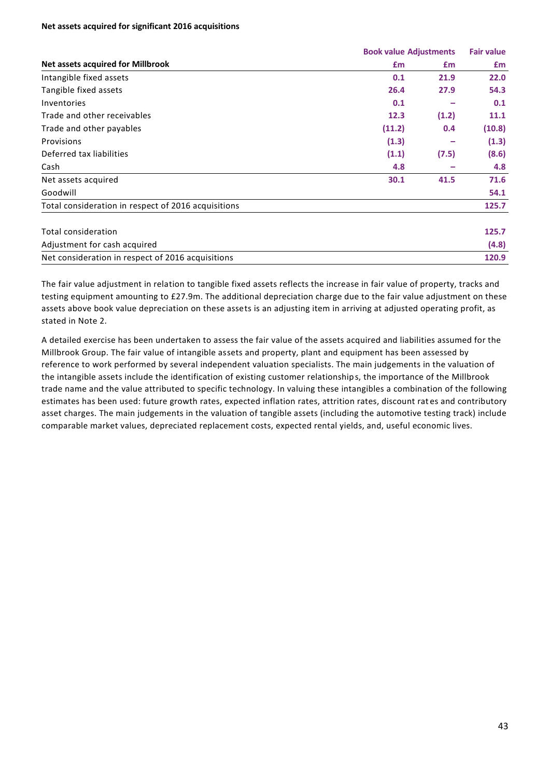#### **Net assets acquired for significant 2016 acquisitions**

|                                                     |        | <b>Book value Adjustments</b> |        |
|-----------------------------------------------------|--------|-------------------------------|--------|
| <b>Net assets acquired for Millbrook</b>            | £m     | £m                            | £m     |
| Intangible fixed assets                             | 0.1    | 21.9                          | 22.0   |
| Tangible fixed assets                               | 26.4   | 27.9                          | 54.3   |
| Inventories                                         | 0.1    |                               | 0.1    |
| Trade and other receivables                         | 12.3   | (1.2)                         | 11.1   |
| Trade and other payables                            | (11.2) | 0.4                           | (10.8) |
| Provisions                                          | (1.3)  |                               | (1.3)  |
| Deferred tax liabilities                            | (1.1)  | (7.5)                         | (8.6)  |
| Cash                                                | 4.8    |                               | 4.8    |
| Net assets acquired                                 | 30.1   | 41.5                          | 71.6   |
| Goodwill                                            |        |                               | 54.1   |
| Total consideration in respect of 2016 acquisitions |        |                               | 125.7  |
| <b>Total consideration</b>                          |        |                               | 125.7  |
| Adjustment for cash acquired                        |        |                               | (4.8)  |
| Net consideration in respect of 2016 acquisitions   |        |                               | 120.9  |

The fair value adjustment in relation to tangible fixed assets reflects the increase in fair value of property, tracks and testing equipment amounting to £27.9m. The additional depreciation charge due to the fair value adjustment on these assets above book value depreciation on these assets is an adjusting item in arriving at adjusted operating profit, as stated in Note 2.

A detailed exercise has been undertaken to assess the fair value of the assets acquired and liabilities assumed for the Millbrook Group. The fair value of intangible assets and property, plant and equipment has been assessed by reference to work performed by several independent valuation specialists. The main judgements in the valuation of the intangible assets include the identification of existing customer relationships, the importance of the Millbrook trade name and the value attributed to specific technology. In valuing these intangibles a combination of the following estimates has been used: future growth rates, expected inflation rates, attrition rates, discount rat es and contributory asset charges. The main judgements in the valuation of tangible assets (including the automotive testing track) include comparable market values, depreciated replacement costs, expected rental yields, and, useful economic lives.